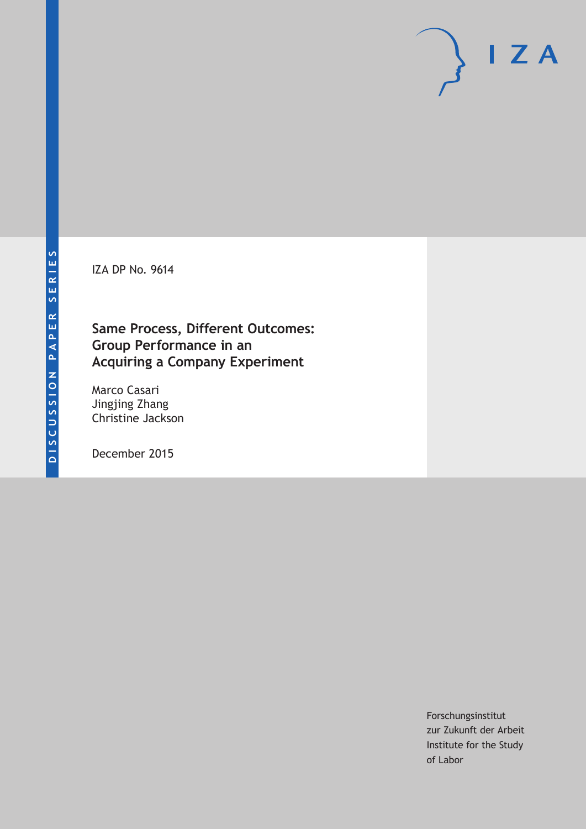IZA DP No. 9614

# **Same Process, Different Outcomes: Group Performance in an Acquiring a Company Experiment**

Marco Casari Jingjing Zhang Christine Jackson

December 2015

Forschungsinstitut zur Zukunft der Arbeit Institute for the Study of Labor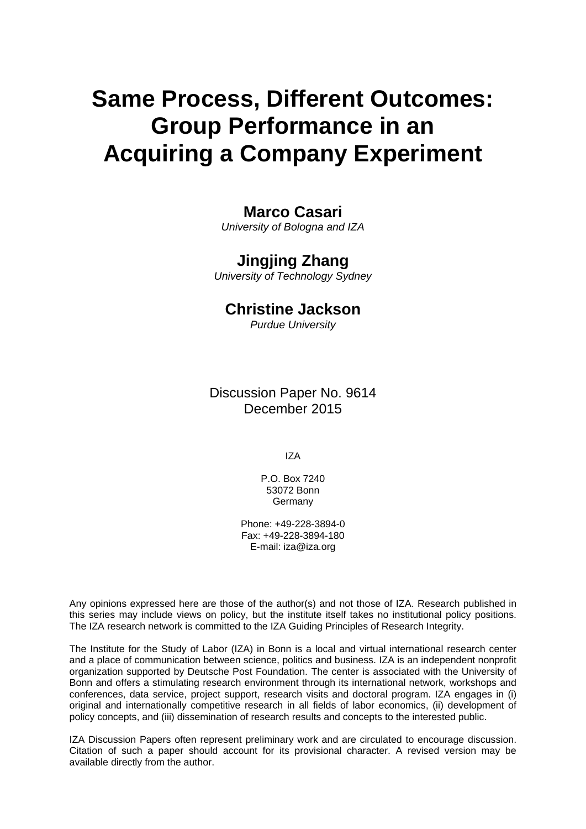# **Same Process, Different Outcomes: Group Performance in an Acquiring a Company Experiment**

### **Marco Casari**

*University of Bologna and IZA* 

### **Jingjing Zhang**

*University of Technology Sydney* 

### **Christine Jackson**

*Purdue University*

Discussion Paper No. 9614 December 2015

IZA

P.O. Box 7240 53072 Bonn Germany

Phone: +49-228-3894-0 Fax: +49-228-3894-180 E-mail: iza@iza.org

Any opinions expressed here are those of the author(s) and not those of IZA. Research published in this series may include views on policy, but the institute itself takes no institutional policy positions. The IZA research network is committed to the IZA Guiding Principles of Research Integrity.

The Institute for the Study of Labor (IZA) in Bonn is a local and virtual international research center and a place of communication between science, politics and business. IZA is an independent nonprofit organization supported by Deutsche Post Foundation. The center is associated with the University of Bonn and offers a stimulating research environment through its international network, workshops and conferences, data service, project support, research visits and doctoral program. IZA engages in (i) original and internationally competitive research in all fields of labor economics, (ii) development of policy concepts, and (iii) dissemination of research results and concepts to the interested public.

IZA Discussion Papers often represent preliminary work and are circulated to encourage discussion. Citation of such a paper should account for its provisional character. A revised version may be available directly from the author.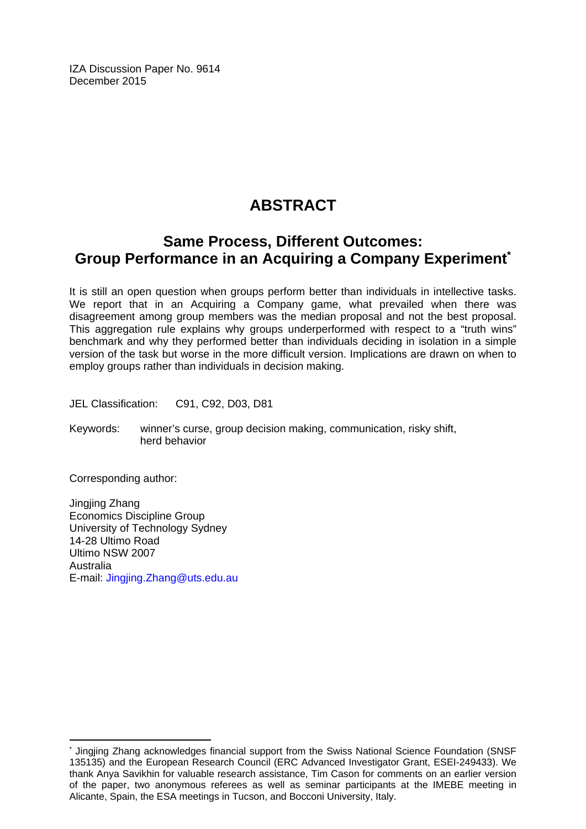IZA Discussion Paper No. 9614 December 2015

# **ABSTRACT**

# **Same Process, Different Outcomes: Group Performance in an Acquiring a Company Experiment\***

It is still an open question when groups perform better than individuals in intellective tasks. We report that in an Acquiring a Company game, what prevailed when there was disagreement among group members was the median proposal and not the best proposal. This aggregation rule explains why groups underperformed with respect to a "truth wins" benchmark and why they performed better than individuals deciding in isolation in a simple version of the task but worse in the more difficult version. Implications are drawn on when to employ groups rather than individuals in decision making.

JEL Classification: C91, C92, D03, D81

Keywords: winner's curse, group decision making, communication, risky shift, herd behavior

Corresponding author:

 $\overline{\phantom{a}}$ 

Jingjing Zhang Economics Discipline Group University of Technology Sydney 14-28 Ultimo Road Ultimo NSW 2007 Australia E-mail: Jingjing.Zhang@uts.edu.au

<sup>\*</sup> Jingjing Zhang acknowledges financial support from the Swiss National Science Foundation (SNSF 135135) and the European Research Council (ERC Advanced Investigator Grant, ESEI-249433). We thank Anya Savikhin for valuable research assistance, Tim Cason for comments on an earlier version of the paper, two anonymous referees as well as seminar participants at the IMEBE meeting in Alicante, Spain, the ESA meetings in Tucson, and Bocconi University, Italy.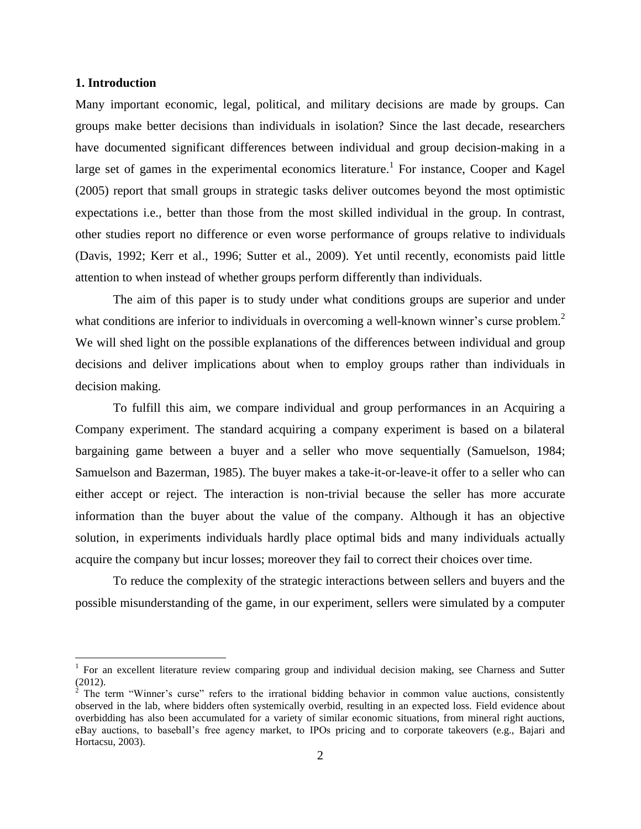#### **1. Introduction**

 $\overline{a}$ 

Many important economic, legal, political, and military decisions are made by groups. Can groups make better decisions than individuals in isolation? Since the last decade, researchers have documented significant differences between individual and group decision-making in a large set of games in the experimental economics literature.<sup>1</sup> For instance, Cooper and Kagel (2005) report that small groups in strategic tasks deliver outcomes beyond the most optimistic expectations i.e., better than those from the most skilled individual in the group. In contrast, other studies report no difference or even worse performance of groups relative to individuals (Davis, 1992; Kerr et al., 1996; Sutter et al., 2009). Yet until recently, economists paid little attention to when instead of whether groups perform differently than individuals.

The aim of this paper is to study under what conditions groups are superior and under what conditions are inferior to individuals in overcoming a well-known winner's curse problem.<sup>2</sup> We will shed light on the possible explanations of the differences between individual and group decisions and deliver implications about when to employ groups rather than individuals in decision making.

To fulfill this aim, we compare individual and group performances in an Acquiring a Company experiment. The standard acquiring a company experiment is based on a bilateral bargaining game between a buyer and a seller who move sequentially (Samuelson, 1984; Samuelson and Bazerman, 1985). The buyer makes a take-it-or-leave-it offer to a seller who can either accept or reject. The interaction is non-trivial because the seller has more accurate information than the buyer about the value of the company. Although it has an objective solution, in experiments individuals hardly place optimal bids and many individuals actually acquire the company but incur losses; moreover they fail to correct their choices over time.

To reduce the complexity of the strategic interactions between sellers and buyers and the possible misunderstanding of the game, in our experiment, sellers were simulated by a computer

<sup>1</sup> For an excellent literature review comparing group and individual decision making, see Charness and Sutter (2012).

 $2^2$  The term "Winner's curse" refers to the irrational bidding behavior in common value auctions, consistently observed in the lab, where bidders often systemically overbid, resulting in an expected loss. Field evidence about overbidding has also been accumulated for a variety of similar economic situations, from mineral right auctions, eBay auctions, to baseball's free agency market, to IPOs pricing and to corporate takeovers (e.g., Bajari and Hortacsu, 2003).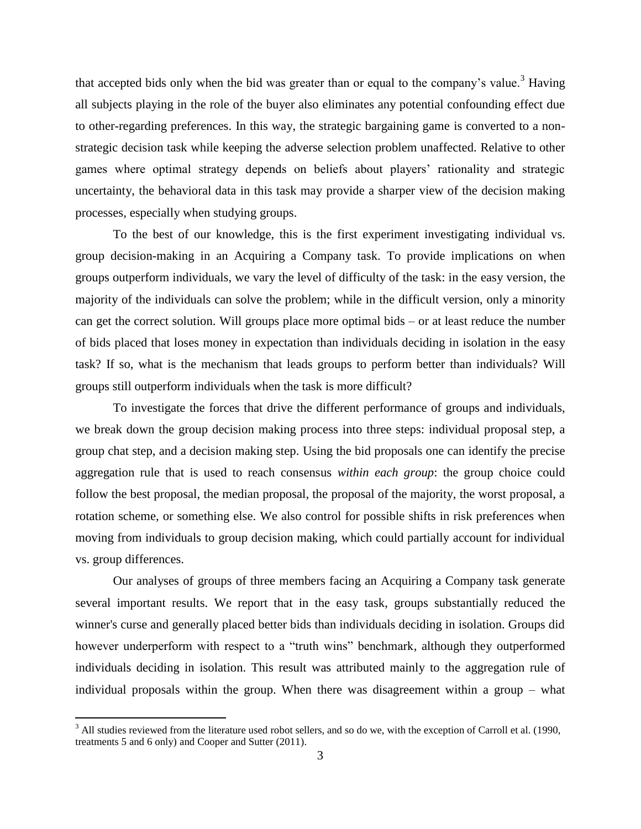that accepted bids only when the bid was greater than or equal to the company's value.<sup>3</sup> Having all subjects playing in the role of the buyer also eliminates any potential confounding effect due to other-regarding preferences. In this way, the strategic bargaining game is converted to a nonstrategic decision task while keeping the adverse selection problem unaffected. Relative to other games where optimal strategy depends on beliefs about players' rationality and strategic uncertainty, the behavioral data in this task may provide a sharper view of the decision making processes, especially when studying groups.

To the best of our knowledge, this is the first experiment investigating individual vs. group decision-making in an Acquiring a Company task. To provide implications on when groups outperform individuals, we vary the level of difficulty of the task: in the easy version, the majority of the individuals can solve the problem; while in the difficult version, only a minority can get the correct solution. Will groups place more optimal bids – or at least reduce the number of bids placed that loses money in expectation than individuals deciding in isolation in the easy task? If so, what is the mechanism that leads groups to perform better than individuals? Will groups still outperform individuals when the task is more difficult?

To investigate the forces that drive the different performance of groups and individuals, we break down the group decision making process into three steps: individual proposal step, a group chat step, and a decision making step. Using the bid proposals one can identify the precise aggregation rule that is used to reach consensus *within each group*: the group choice could follow the best proposal, the median proposal, the proposal of the majority, the worst proposal, a rotation scheme, or something else. We also control for possible shifts in risk preferences when moving from individuals to group decision making, which could partially account for individual vs. group differences.

Our analyses of groups of three members facing an Acquiring a Company task generate several important results. We report that in the easy task, groups substantially reduced the winner's curse and generally placed better bids than individuals deciding in isolation. Groups did however underperform with respect to a "truth wins" benchmark, although they outperformed individuals deciding in isolation. This result was attributed mainly to the aggregation rule of individual proposals within the group. When there was disagreement within a group – what

 $3$  All studies reviewed from the literature used robot sellers, and so do we, with the exception of Carroll et al. (1990, treatments 5 and 6 only) and Cooper and Sutter (2011).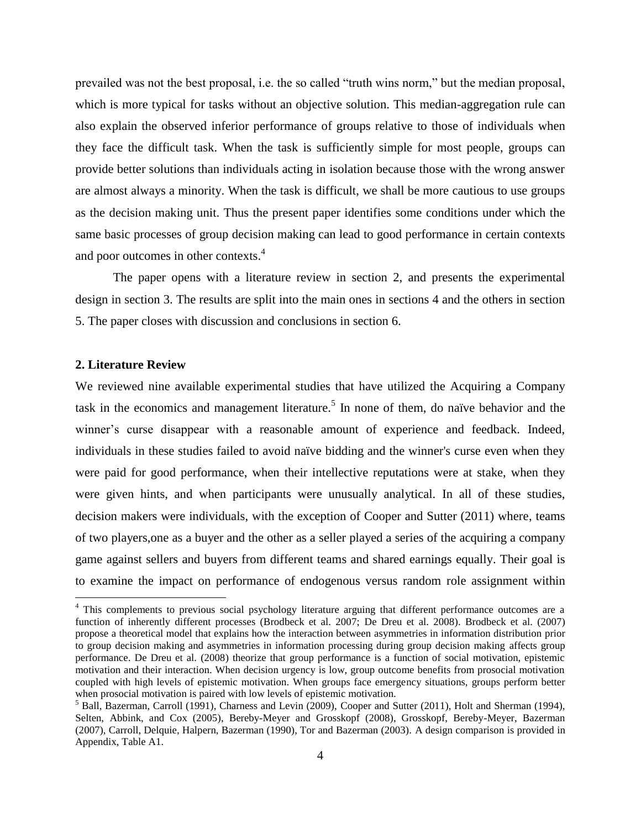prevailed was not the best proposal, i.e. the so called "truth wins norm," but the median proposal, which is more typical for tasks without an objective solution. This median-aggregation rule can also explain the observed inferior performance of groups relative to those of individuals when they face the difficult task. When the task is sufficiently simple for most people, groups can provide better solutions than individuals acting in isolation because those with the wrong answer are almost always a minority. When the task is difficult, we shall be more cautious to use groups as the decision making unit. Thus the present paper identifies some conditions under which the same basic processes of group decision making can lead to good performance in certain contexts and poor outcomes in other contexts. 4

The paper opens with a literature review in section 2, and presents the experimental design in section 3. The results are split into the main ones in sections 4 and the others in section 5. The paper closes with discussion and conclusions in section 6.

### **2. Literature Review**

 $\overline{a}$ 

We reviewed nine available experimental studies that have utilized the Acquiring a Company task in the economics and management literature.<sup>5</sup> In none of them, do naïve behavior and the winner's curse disappear with a reasonable amount of experience and feedback. Indeed, individuals in these studies failed to avoid naïve bidding and the winner's curse even when they were paid for good performance, when their intellective reputations were at stake, when they were given hints, and when participants were unusually analytical. In all of these studies, decision makers were individuals, with the exception of Cooper and Sutter (2011) where, teams of two players,one as a buyer and the other as a seller played a series of the acquiring a company game against sellers and buyers from different teams and shared earnings equally. Their goal is to examine the impact on performance of endogenous versus random role assignment within

<sup>&</sup>lt;sup>4</sup> This complements to previous social psychology literature arguing that different performance outcomes are a function of inherently different processes (Brodbeck et al. 2007; De Dreu et al. 2008). Brodbeck et al. (2007) propose a theoretical model that explains how the interaction between asymmetries in information distribution prior to group decision making and asymmetries in information processing during group decision making affects group performance. De Dreu et al. (2008) theorize that group performance is a function of social motivation, epistemic motivation and their interaction. When decision urgency is low, group outcome benefits from prosocial motivation coupled with high levels of epistemic motivation. When groups face emergency situations, groups perform better when prosocial motivation is paired with low levels of epistemic motivation.

<sup>&</sup>lt;sup>5</sup> Ball, Bazerman, Carroll (1991), Charness and Levin (2009), Cooper and Sutter (2011), Holt and Sherman (1994), Selten, Abbink, and Cox (2005), Bereby-Meyer and Grosskopf (2008), Grosskopf, Bereby-Meyer, Bazerman (2007), Carroll, Delquie, Halpern, Bazerman (1990), Tor and Bazerman (2003). A design comparison is provided in Appendix, Table A1.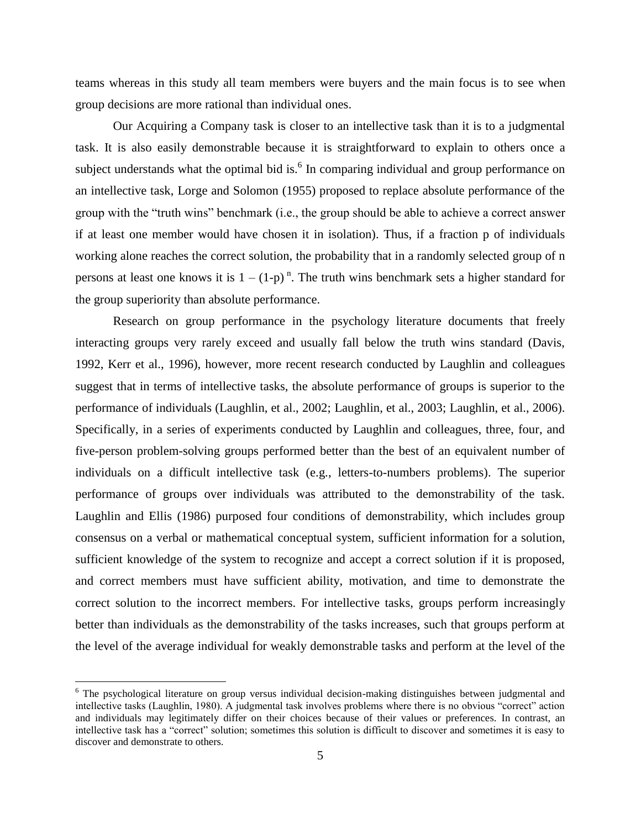teams whereas in this study all team members were buyers and the main focus is to see when group decisions are more rational than individual ones.

Our Acquiring a Company task is closer to an intellective task than it is to a judgmental task. It is also easily demonstrable because it is straightforward to explain to others once a subject understands what the optimal bid is. $<sup>6</sup>$  In comparing individual and group performance on</sup> an intellective task, Lorge and Solomon (1955) proposed to replace absolute performance of the group with the "truth wins" benchmark (i.e., the group should be able to achieve a correct answer if at least one member would have chosen it in isolation). Thus, if a fraction p of individuals working alone reaches the correct solution, the probability that in a randomly selected group of n persons at least one knows it is  $1 - (1-p)^n$ . The truth wins benchmark sets a higher standard for the group superiority than absolute performance.

Research on group performance in the psychology literature documents that freely interacting groups very rarely exceed and usually fall below the truth wins standard (Davis, 1992, Kerr et al., 1996), however, more recent research conducted by Laughlin and colleagues suggest that in terms of intellective tasks, the absolute performance of groups is superior to the performance of individuals (Laughlin, et al., 2002; Laughlin, et al., 2003; Laughlin, et al., 2006). Specifically, in a series of experiments conducted by Laughlin and colleagues, three, four, and five-person problem-solving groups performed better than the best of an equivalent number of individuals on a difficult intellective task (e.g., letters-to-numbers problems). The superior performance of groups over individuals was attributed to the demonstrability of the task. Laughlin and Ellis (1986) purposed four conditions of demonstrability, which includes group consensus on a verbal or mathematical conceptual system, sufficient information for a solution, sufficient knowledge of the system to recognize and accept a correct solution if it is proposed, and correct members must have sufficient ability, motivation, and time to demonstrate the correct solution to the incorrect members. For intellective tasks, groups perform increasingly better than individuals as the demonstrability of the tasks increases, such that groups perform at the level of the average individual for weakly demonstrable tasks and perform at the level of the

<sup>&</sup>lt;sup>6</sup> The psychological literature on group versus individual decision-making distinguishes between judgmental and intellective tasks (Laughlin, 1980). A judgmental task involves problems where there is no obvious "correct" action and individuals may legitimately differ on their choices because of their values or preferences. In contrast, an intellective task has a "correct" solution; sometimes this solution is difficult to discover and sometimes it is easy to discover and demonstrate to others.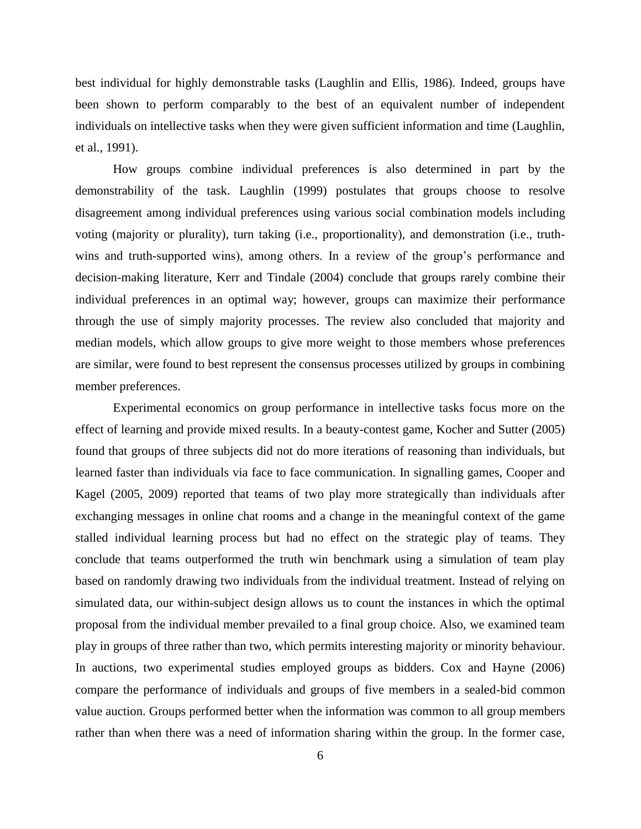best individual for highly demonstrable tasks (Laughlin and Ellis, 1986). Indeed, groups have been shown to perform comparably to the best of an equivalent number of independent individuals on intellective tasks when they were given sufficient information and time (Laughlin, et al., 1991).

How groups combine individual preferences is also determined in part by the demonstrability of the task. Laughlin (1999) postulates that groups choose to resolve disagreement among individual preferences using various social combination models including voting (majority or plurality), turn taking (i.e., proportionality), and demonstration (i.e., truthwins and truth-supported wins), among others. In a review of the group's performance and decision-making literature, Kerr and Tindale (2004) conclude that groups rarely combine their individual preferences in an optimal way; however, groups can maximize their performance through the use of simply majority processes. The review also concluded that majority and median models, which allow groups to give more weight to those members whose preferences are similar, were found to best represent the consensus processes utilized by groups in combining member preferences.

Experimental economics on group performance in intellective tasks focus more on the effect of learning and provide mixed results. In a beauty-contest game, Kocher and Sutter (2005) found that groups of three subjects did not do more iterations of reasoning than individuals, but learned faster than individuals via face to face communication. In signalling games, Cooper and Kagel (2005, 2009) reported that teams of two play more strategically than individuals after exchanging messages in online chat rooms and a change in the meaningful context of the game stalled individual learning process but had no effect on the strategic play of teams. They conclude that teams outperformed the truth win benchmark using a simulation of team play based on randomly drawing two individuals from the individual treatment. Instead of relying on simulated data, our within-subject design allows us to count the instances in which the optimal proposal from the individual member prevailed to a final group choice. Also, we examined team play in groups of three rather than two, which permits interesting majority or minority behaviour. In auctions, two experimental studies employed groups as bidders. Cox and Hayne (2006) compare the performance of individuals and groups of five members in a sealed-bid common value auction. Groups performed better when the information was common to all group members rather than when there was a need of information sharing within the group. In the former case,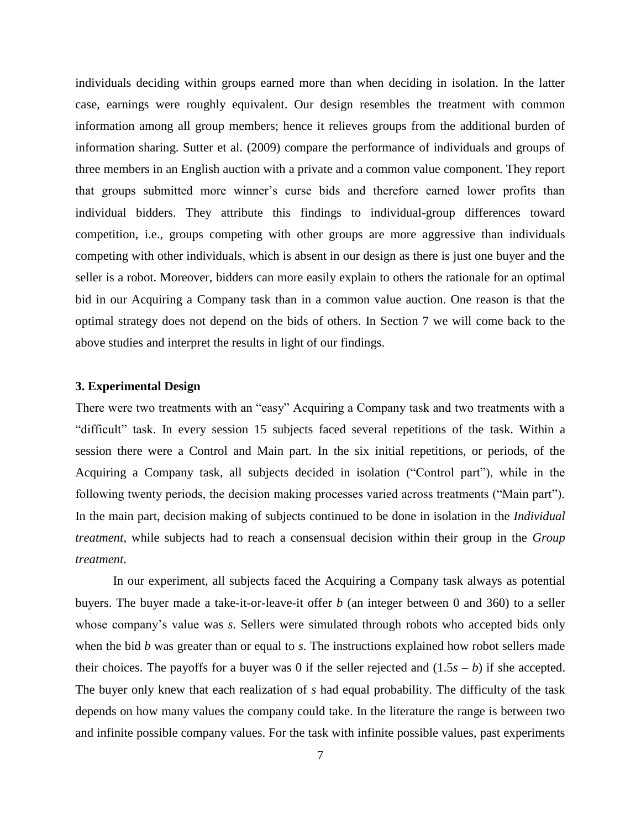individuals deciding within groups earned more than when deciding in isolation. In the latter case, earnings were roughly equivalent. Our design resembles the treatment with common information among all group members; hence it relieves groups from the additional burden of information sharing. Sutter et al. (2009) compare the performance of individuals and groups of three members in an English auction with a private and a common value component. They report that groups submitted more winner's curse bids and therefore earned lower profits than individual bidders. They attribute this findings to individual-group differences toward competition, i.e., groups competing with other groups are more aggressive than individuals competing with other individuals, which is absent in our design as there is just one buyer and the seller is a robot. Moreover, bidders can more easily explain to others the rationale for an optimal bid in our Acquiring a Company task than in a common value auction. One reason is that the optimal strategy does not depend on the bids of others. In Section 7 we will come back to the above studies and interpret the results in light of our findings.

### **3. Experimental Design**

There were two treatments with an "easy" Acquiring a Company task and two treatments with a "difficult" task. In every session 15 subjects faced several repetitions of the task. Within a session there were a Control and Main part. In the six initial repetitions, or periods, of the Acquiring a Company task, all subjects decided in isolation ("Control part"), while in the following twenty periods, the decision making processes varied across treatments ("Main part"). In the main part, decision making of subjects continued to be done in isolation in the *Individual treatment*, while subjects had to reach a consensual decision within their group in the *Group treatment*.

In our experiment, all subjects faced the Acquiring a Company task always as potential buyers. The buyer made a take-it-or-leave-it offer *b* (an integer between 0 and 360) to a seller whose company's value was *s*. Sellers were simulated through robots who accepted bids only when the bid *b* was greater than or equal to *s*. The instructions explained how robot sellers made their choices. The payoffs for a buyer was 0 if the seller rejected and  $(1.5s - b)$  if she accepted. The buyer only knew that each realization of *s* had equal probability. The difficulty of the task depends on how many values the company could take. In the literature the range is between two and infinite possible company values. For the task with infinite possible values, past experiments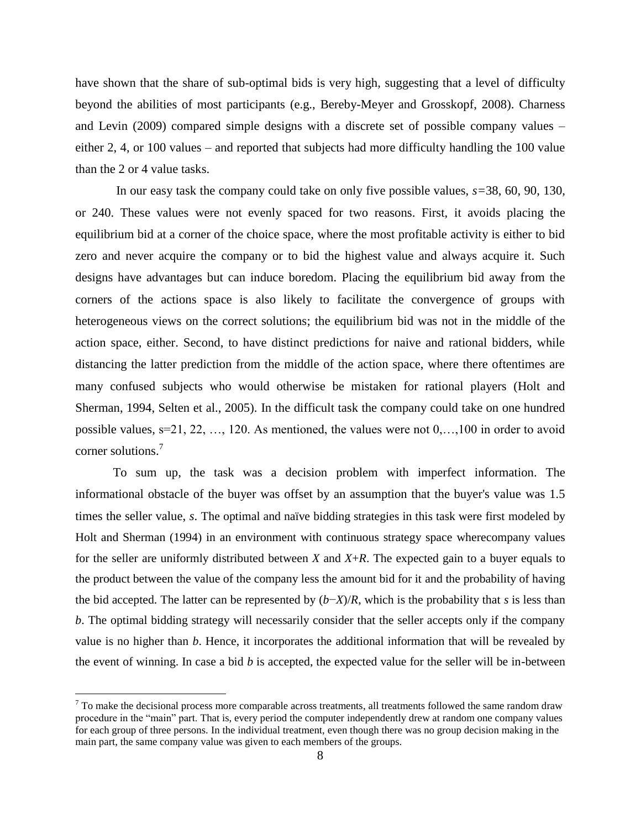have shown that the share of sub-optimal bids is very high, suggesting that a level of difficulty beyond the abilities of most participants (e.g., Bereby-Meyer and Grosskopf, 2008). Charness and Levin (2009) compared simple designs with a discrete set of possible company values – either 2, 4, or 100 values – and reported that subjects had more difficulty handling the 100 value than the 2 or 4 value tasks.

In our easy task the company could take on only five possible values, *s=*38, 60, 90, 130, or 240. These values were not evenly spaced for two reasons. First, it avoids placing the equilibrium bid at a corner of the choice space, where the most profitable activity is either to bid zero and never acquire the company or to bid the highest value and always acquire it. Such designs have advantages but can induce boredom. Placing the equilibrium bid away from the corners of the actions space is also likely to facilitate the convergence of groups with heterogeneous views on the correct solutions; the equilibrium bid was not in the middle of the action space, either. Second, to have distinct predictions for naive and rational bidders, while distancing the latter prediction from the middle of the action space, where there oftentimes are many confused subjects who would otherwise be mistaken for rational players (Holt and Sherman, 1994, Selten et al., 2005). In the difficult task the company could take on one hundred possible values, s=21, 22, …, 120. As mentioned, the values were not 0,…,100 in order to avoid corner solutions.<sup>7</sup>

To sum up, the task was a decision problem with imperfect information. The informational obstacle of the buyer was offset by an assumption that the buyer's value was 1.5 times the seller value, *s*. The optimal and naïve bidding strategies in this task were first modeled by Holt and Sherman (1994) in an environment with continuous strategy space wherecompany values for the seller are uniformly distributed between *X* and *X*+*R*. The expected gain to a buyer equals to the product between the value of the company less the amount bid for it and the probability of having the bid accepted. The latter can be represented by (*b*−*X*)/*R,* which is the probability that *s* is less than *b*. The optimal bidding strategy will necessarily consider that the seller accepts only if the company value is no higher than *b*. Hence, it incorporates the additional information that will be revealed by the event of winning. In case a bid *b* is accepted, the expected value for the seller will be in-between

 $<sup>7</sup>$  To make the decisional process more comparable across treatments, all treatments followed the same random draw</sup> procedure in the "main" part. That is, every period the computer independently drew at random one company values for each group of three persons. In the individual treatment, even though there was no group decision making in the main part, the same company value was given to each members of the groups.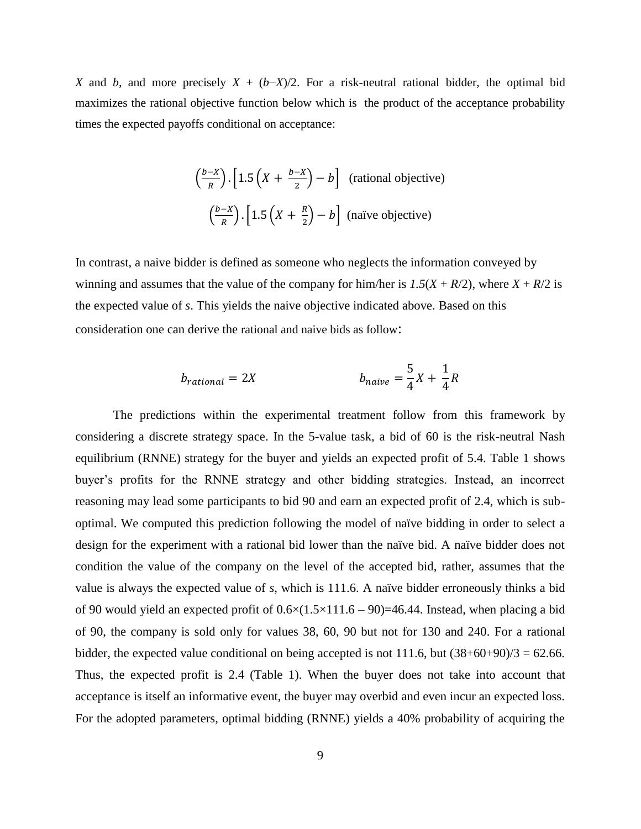*X* and *b*, and more precisely  $X + (b-X)/2$ . For a risk-neutral rational bidder, the optimal bid maximizes the rational objective function below which is the product of the acceptance probability times the expected payoffs conditional on acceptance:

$$
\left(\frac{b-X}{R}\right) \cdot \left[1.5\left(X + \frac{b-X}{2}\right) - b\right] \text{ (rational objective)}
$$
\n
$$
\left(\frac{b-X}{R}\right) \cdot \left[1.5\left(X + \frac{R}{2}\right) - b\right] \text{ (naïve objective)}
$$

In contrast, a naive bidder is defined as someone who neglects the information conveyed by winning and assumes that the value of the company for him/her is  $1.5(X + R/2)$ , where  $X + R/2$  is the expected value of *s*. This yields the naive objective indicated above. Based on this consideration one can derive the rational and naive bids as follow:

$$
b_{rational} = 2X \qquad \qquad b_{naive} = \frac{5}{4}X + \frac{1}{4}R
$$

The predictions within the experimental treatment follow from this framework by considering a discrete strategy space. In the 5-value task, a bid of 60 is the risk-neutral Nash equilibrium (RNNE) strategy for the buyer and yields an expected profit of 5.4. Table 1 shows buyer's profits for the RNNE strategy and other bidding strategies. Instead, an incorrect reasoning may lead some participants to bid 90 and earn an expected profit of 2.4, which is suboptimal. We computed this prediction following the model of naïve bidding in order to select a design for the experiment with a rational bid lower than the naïve bid. A naïve bidder does not condition the value of the company on the level of the accepted bid, rather, assumes that the value is always the expected value of *s*, which is 111.6. A naïve bidder erroneously thinks a bid of 90 would yield an expected profit of  $0.6 \times (1.5 \times 111.6 - 90) = 46.44$ . Instead, when placing a bid of 90, the company is sold only for values 38, 60, 90 but not for 130 and 240. For a rational bidder, the expected value conditional on being accepted is not 111.6, but  $(38+60+90)/3 = 62.66$ . Thus, the expected profit is 2.4 (Table 1). When the buyer does not take into account that acceptance is itself an informative event, the buyer may overbid and even incur an expected loss. For the adopted parameters, optimal bidding (RNNE) yields a 40% probability of acquiring the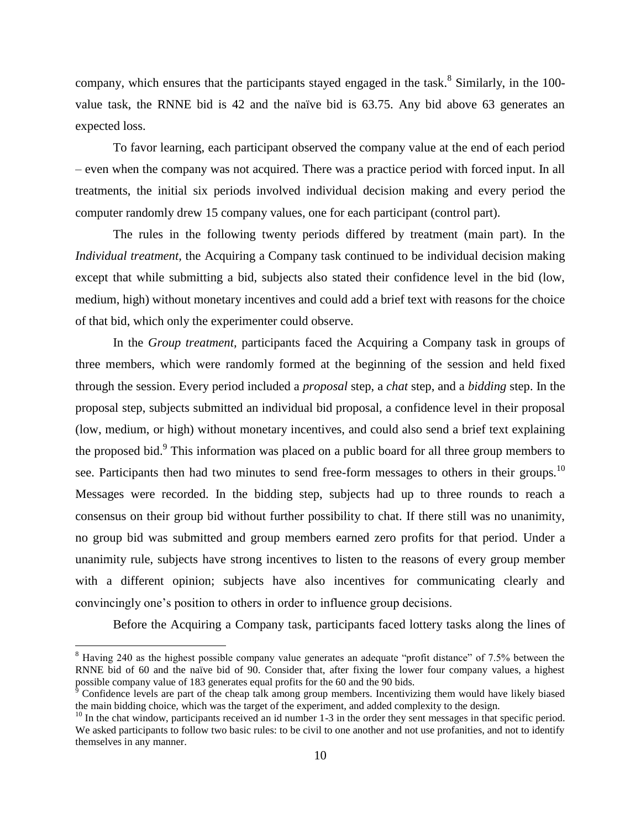company, which ensures that the participants stayed engaged in the task.<sup>8</sup> Similarly, in the 100value task, the RNNE bid is 42 and the naïve bid is 63.75. Any bid above 63 generates an expected loss.

To favor learning, each participant observed the company value at the end of each period – even when the company was not acquired. There was a practice period with forced input. In all treatments, the initial six periods involved individual decision making and every period the computer randomly drew 15 company values, one for each participant (control part).

The rules in the following twenty periods differed by treatment (main part). In the *Individual treatment,* the Acquiring a Company task continued to be individual decision making except that while submitting a bid, subjects also stated their confidence level in the bid (low, medium, high) without monetary incentives and could add a brief text with reasons for the choice of that bid, which only the experimenter could observe.

In the *Group treatment,* participants faced the Acquiring a Company task in groups of three members, which were randomly formed at the beginning of the session and held fixed through the session. Every period included a *proposal* step, a *chat* step, and a *bidding* step. In the proposal step, subjects submitted an individual bid proposal, a confidence level in their proposal (low, medium, or high) without monetary incentives, and could also send a brief text explaining the proposed bid. $\frac{9}{5}$  This information was placed on a public board for all three group members to see. Participants then had two minutes to send free-form messages to others in their groups.<sup>10</sup> Messages were recorded. In the bidding step, subjects had up to three rounds to reach a consensus on their group bid without further possibility to chat. If there still was no unanimity, no group bid was submitted and group members earned zero profits for that period. Under a unanimity rule, subjects have strong incentives to listen to the reasons of every group member with a different opinion; subjects have also incentives for communicating clearly and convincingly one's position to others in order to influence group decisions.

Before the Acquiring a Company task, participants faced lottery tasks along the lines of

 $8$  Having 240 as the highest possible company value generates an adequate "profit distance" of 7.5% between the RNNE bid of 60 and the naïve bid of 90. Consider that, after fixing the lower four company values, a highest possible company value of 183 generates equal profits for the 60 and the 90 bids.

<sup>&</sup>lt;sup>9</sup> Confidence levels are part of the cheap talk among group members. Incentivizing them would have likely biased the main bidding choice, which was the target of the experiment, and added complexity to the design.

 $10$  In the chat window, participants received an id number 1-3 in the order they sent messages in that specific period. We asked participants to follow two basic rules: to be civil to one another and not use profanities, and not to identify themselves in any manner.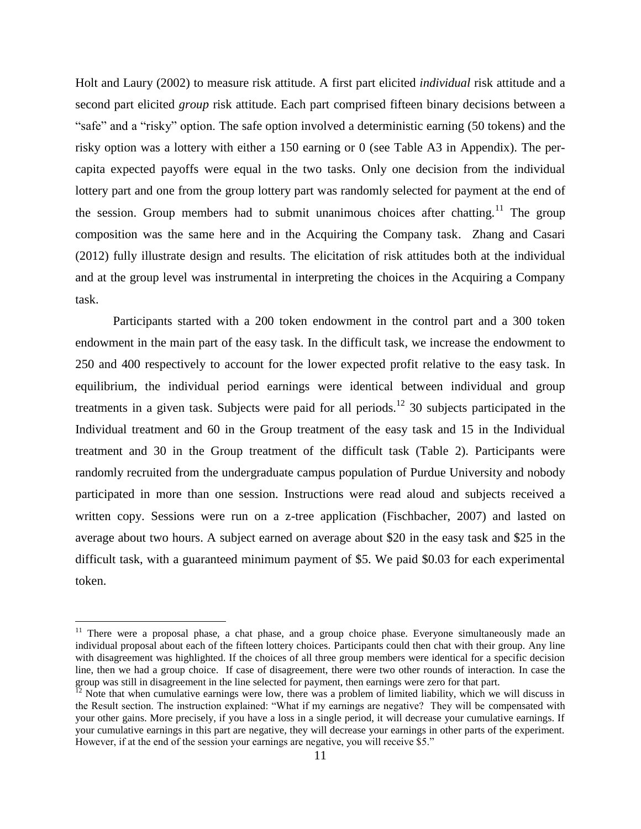Holt and Laury (2002) to measure risk attitude. A first part elicited *individual* risk attitude and a second part elicited *group* risk attitude. Each part comprised fifteen binary decisions between a "safe" and a "risky" option. The safe option involved a deterministic earning (50 tokens) and the risky option was a lottery with either a 150 earning or 0 (see Table A3 in Appendix). The percapita expected payoffs were equal in the two tasks. Only one decision from the individual lottery part and one from the group lottery part was randomly selected for payment at the end of the session. Group members had to submit unanimous choices after chatting.<sup>11</sup> The group composition was the same here and in the Acquiring the Company task. Zhang and Casari (2012) fully illustrate design and results. The elicitation of risk attitudes both at the individual and at the group level was instrumental in interpreting the choices in the Acquiring a Company task.

Participants started with a 200 token endowment in the control part and a 300 token endowment in the main part of the easy task. In the difficult task, we increase the endowment to 250 and 400 respectively to account for the lower expected profit relative to the easy task. In equilibrium, the individual period earnings were identical between individual and group treatments in a given task. Subjects were paid for all periods.<sup>12</sup> 30 subjects participated in the Individual treatment and 60 in the Group treatment of the easy task and 15 in the Individual treatment and 30 in the Group treatment of the difficult task (Table 2). Participants were randomly recruited from the undergraduate campus population of Purdue University and nobody participated in more than one session. Instructions were read aloud and subjects received a written copy. Sessions were run on a z-tree application (Fischbacher, 2007) and lasted on average about two hours. A subject earned on average about \$20 in the easy task and \$25 in the difficult task, with a guaranteed minimum payment of \$5. We paid \$0.03 for each experimental token.

<sup>&</sup>lt;sup>11</sup> There were a proposal phase, a chat phase, and a group choice phase. Everyone simultaneously made an individual proposal about each of the fifteen lottery choices. Participants could then chat with their group. Any line with disagreement was highlighted. If the choices of all three group members were identical for a specific decision line, then we had a group choice. If case of disagreement, there were two other rounds of interaction. In case the group was still in disagreement in the line selected for payment, then earnings were zero for that part.

 $^{12}$  Note that when cumulative earnings were low, there was a problem of limited liability, which we will discuss in the Result section. The instruction explained: "What if my earnings are negative? They will be compensated with your other gains. More precisely, if you have a loss in a single period, it will decrease your cumulative earnings. If your cumulative earnings in this part are negative, they will decrease your earnings in other parts of the experiment. However, if at the end of the session your earnings are negative, you will receive \$5."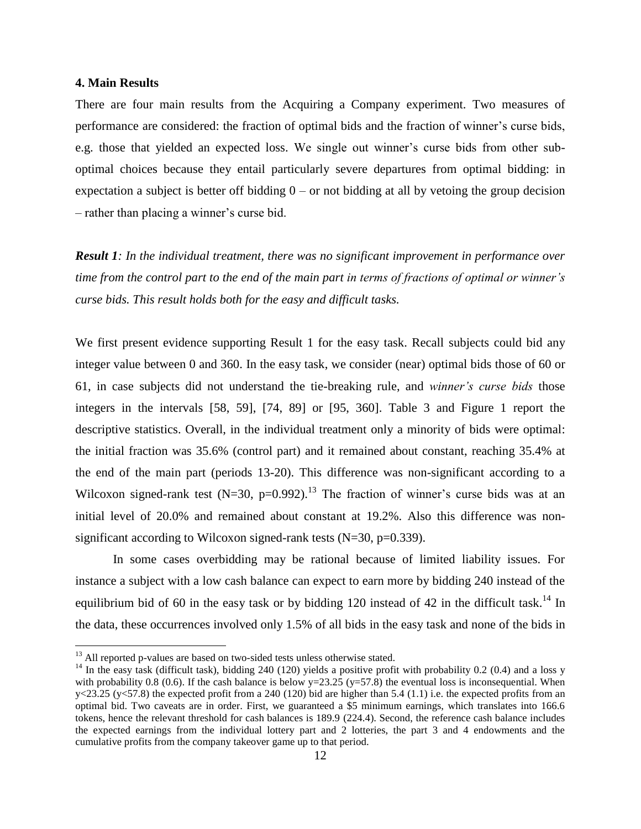#### **4. Main Results**

 $\overline{a}$ 

There are four main results from the Acquiring a Company experiment. Two measures of performance are considered: the fraction of optimal bids and the fraction of winner's curse bids, e.g. those that yielded an expected loss. We single out winner's curse bids from other suboptimal choices because they entail particularly severe departures from optimal bidding: in expectation a subject is better off bidding  $0 -$  or not bidding at all by vetoing the group decision – rather than placing a winner's curse bid.

*Result 1: In the individual treatment, there was no significant improvement in performance over time from the control part to the end of the main part in terms of fractions of optimal or winner's curse bids. This result holds both for the easy and difficult tasks.*

We first present evidence supporting Result 1 for the easy task. Recall subjects could bid any integer value between 0 and 360. In the easy task, we consider (near) optimal bids those of 60 or 61, in case subjects did not understand the tie-breaking rule, and *winner's curse bids* those integers in the intervals [58, 59], [74, 89] or [95, 360]. Table 3 and Figure 1 report the descriptive statistics. Overall, in the individual treatment only a minority of bids were optimal: the initial fraction was 35.6% (control part) and it remained about constant, reaching 35.4% at the end of the main part (periods 13-20). This difference was non-significant according to a Wilcoxon signed-rank test  $(N=30, p=0.992)$ .<sup>13</sup> The fraction of winner's curse bids was at an initial level of 20.0% and remained about constant at 19.2%. Also this difference was nonsignificant according to Wilcoxon signed-rank tests  $(N=30, p=0.339)$ .

In some cases overbidding may be rational because of limited liability issues. For instance a subject with a low cash balance can expect to earn more by bidding 240 instead of the equilibrium bid of 60 in the easy task or by bidding 120 instead of 42 in the difficult task.<sup>14</sup> In the data, these occurrences involved only 1.5% of all bids in the easy task and none of the bids in

<sup>&</sup>lt;sup>13</sup> All reported p-values are based on two-sided tests unless otherwise stated.

 $14$  In the easy task (difficult task), bidding 240 (120) yields a positive profit with probability 0.2 (0.4) and a loss y with probability 0.8 (0.6). If the cash balance is below  $y=23.25$  ( $y=57.8$ ) the eventual loss is inconsequential. When  $y \le 23.25$  (y $\le 57.8$ ) the expected profit from a 240 (120) bid are higher than 5.4 (1.1) i.e. the expected profits from an optimal bid. Two caveats are in order. First, we guaranteed a \$5 minimum earnings, which translates into 166.6 tokens, hence the relevant threshold for cash balances is 189.9 (224.4). Second, the reference cash balance includes the expected earnings from the individual lottery part and 2 lotteries, the part 3 and 4 endowments and the cumulative profits from the company takeover game up to that period.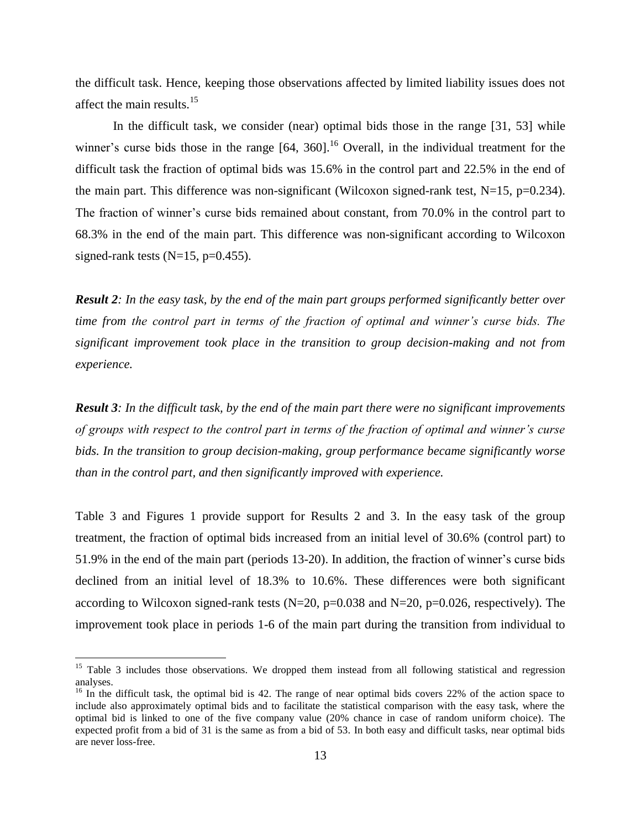the difficult task. Hence, keeping those observations affected by limited liability issues does not affect the main results. $15$ 

In the difficult task, we consider (near) optimal bids those in the range [31, 53] while winner's curse bids those in the range  $[64, 360]$ .<sup>16</sup> Overall, in the individual treatment for the difficult task the fraction of optimal bids was 15.6% in the control part and 22.5% in the end of the main part. This difference was non-significant (Wilcoxon signed-rank test,  $N=15$ ,  $p=0.234$ ). The fraction of winner's curse bids remained about constant, from 70.0% in the control part to 68.3% in the end of the main part. This difference was non-significant according to Wilcoxon signed-rank tests  $(N=15, p=0.455)$ .

*Result 2: In the easy task, by the end of the main part groups performed significantly better over time from the control part in terms of the fraction of optimal and winner's curse bids. The significant improvement took place in the transition to group decision-making and not from experience.*

*Result 3: In the difficult task, by the end of the main part there were no significant improvements of groups with respect to the control part in terms of the fraction of optimal and winner's curse bids. In the transition to group decision-making, group performance became significantly worse than in the control part, and then significantly improved with experience.*

Table 3 and Figures 1 provide support for Results 2 and 3. In the easy task of the group treatment, the fraction of optimal bids increased from an initial level of 30.6% (control part) to 51.9% in the end of the main part (periods 13-20). In addition, the fraction of winner's curse bids declined from an initial level of 18.3% to 10.6%. These differences were both significant according to Wilcoxon signed-rank tests ( $N=20$ ,  $p=0.038$  and  $N=20$ ,  $p=0.026$ , respectively). The improvement took place in periods 1-6 of the main part during the transition from individual to

<sup>&</sup>lt;sup>15</sup> Table 3 includes those observations. We dropped them instead from all following statistical and regression analyses.

<sup>&</sup>lt;sup>16</sup> In the difficult task, the optimal bid is 42. The range of near optimal bids covers 22% of the action space to include also approximately optimal bids and to facilitate the statistical comparison with the easy task, where the optimal bid is linked to one of the five company value (20% chance in case of random uniform choice). The expected profit from a bid of 31 is the same as from a bid of 53. In both easy and difficult tasks, near optimal bids are never loss-free.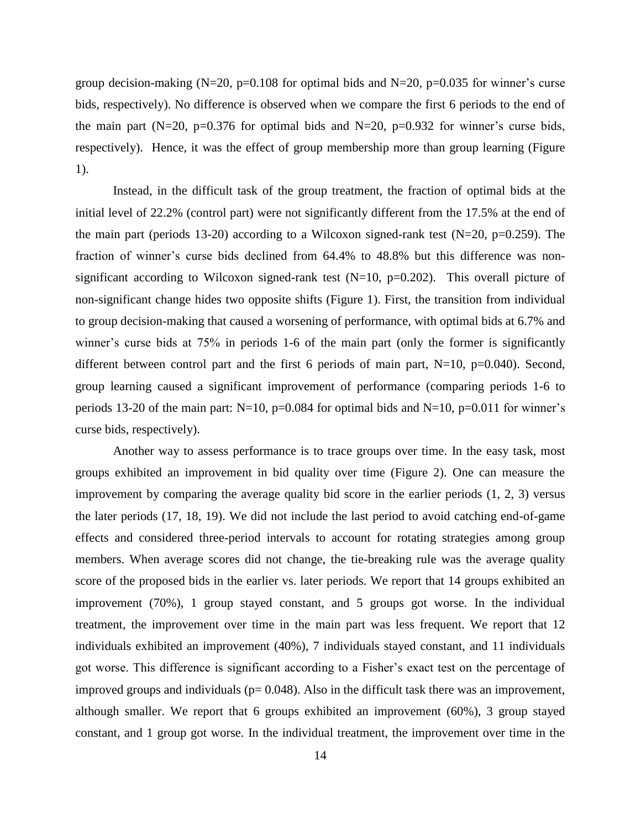group decision-making (N=20, p=0.108 for optimal bids and N=20, p=0.035 for winner's curse bids, respectively). No difference is observed when we compare the first 6 periods to the end of the main part (N=20, p=0.376 for optimal bids and N=20, p=0.932 for winner's curse bids, respectively). Hence, it was the effect of group membership more than group learning (Figure 1).

Instead, in the difficult task of the group treatment, the fraction of optimal bids at the initial level of 22.2% (control part) were not significantly different from the 17.5% at the end of the main part (periods 13-20) according to a Wilcoxon signed-rank test ( $N=20$ ,  $p=0.259$ ). The fraction of winner's curse bids declined from 64.4% to 48.8% but this difference was nonsignificant according to Wilcoxon signed-rank test (N=10, p=0.202). This overall picture of non-significant change hides two opposite shifts (Figure 1). First, the transition from individual to group decision-making that caused a worsening of performance, with optimal bids at 6.7% and winner's curse bids at 75% in periods 1-6 of the main part (only the former is significantly different between control part and the first 6 periods of main part,  $N=10$ ,  $p=0.040$ ). Second, group learning caused a significant improvement of performance (comparing periods 1-6 to periods 13-20 of the main part:  $N=10$ ,  $p=0.084$  for optimal bids and  $N=10$ ,  $p=0.011$  for winner's curse bids, respectively).

Another way to assess performance is to trace groups over time. In the easy task, most groups exhibited an improvement in bid quality over time (Figure 2). One can measure the improvement by comparing the average quality bid score in the earlier periods (1, 2, 3) versus the later periods (17, 18, 19). We did not include the last period to avoid catching end-of-game effects and considered three-period intervals to account for rotating strategies among group members. When average scores did not change, the tie-breaking rule was the average quality score of the proposed bids in the earlier vs. later periods. We report that 14 groups exhibited an improvement (70%), 1 group stayed constant, and 5 groups got worse. In the individual treatment, the improvement over time in the main part was less frequent. We report that 12 individuals exhibited an improvement (40%), 7 individuals stayed constant, and 11 individuals got worse. This difference is significant according to a Fisher's exact test on the percentage of improved groups and individuals ( $p= 0.048$ ). Also in the difficult task there was an improvement, although smaller. We report that 6 groups exhibited an improvement (60%), 3 group stayed constant, and 1 group got worse. In the individual treatment, the improvement over time in the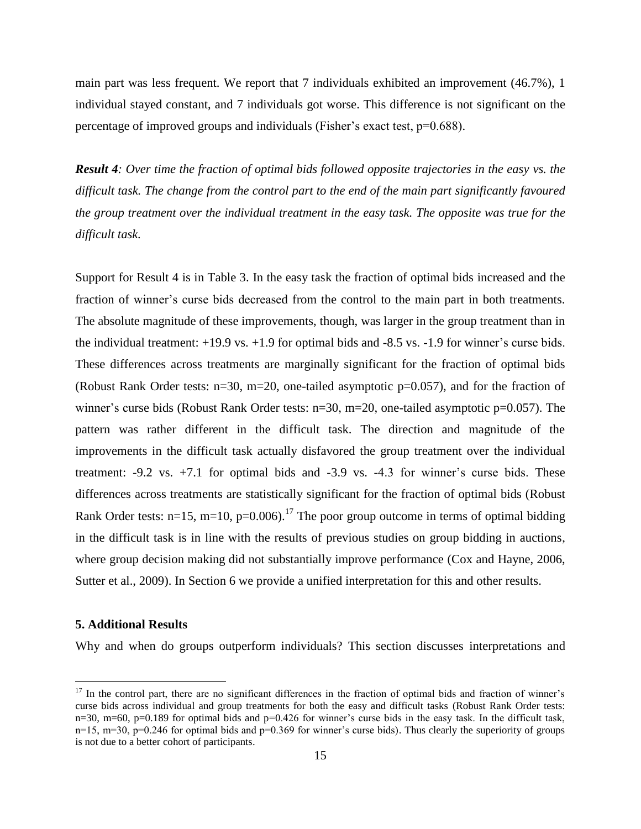main part was less frequent. We report that 7 individuals exhibited an improvement (46.7%), 1 individual stayed constant, and 7 individuals got worse. This difference is not significant on the percentage of improved groups and individuals (Fisher's exact test, p=0.688).

*Result 4: Over time the fraction of optimal bids followed opposite trajectories in the easy vs. the difficult task. The change from the control part to the end of the main part significantly favoured the group treatment over the individual treatment in the easy task. The opposite was true for the difficult task.*

Support for Result 4 is in Table 3. In the easy task the fraction of optimal bids increased and the fraction of winner's curse bids decreased from the control to the main part in both treatments. The absolute magnitude of these improvements, though, was larger in the group treatment than in the individual treatment: +19.9 vs. +1.9 for optimal bids and -8.5 vs. -1.9 for winner's curse bids. These differences across treatments are marginally significant for the fraction of optimal bids (Robust Rank Order tests:  $n=30$ ,  $m=20$ , one-tailed asymptotic  $p=0.057$ ), and for the fraction of winner's curse bids (Robust Rank Order tests: n=30, m=20, one-tailed asymptotic p=0.057). The pattern was rather different in the difficult task. The direction and magnitude of the improvements in the difficult task actually disfavored the group treatment over the individual treatment: -9.2 vs. +7.1 for optimal bids and -3.9 vs. -4.3 for winner's curse bids. These differences across treatments are statistically significant for the fraction of optimal bids (Robust Rank Order tests: n=15, m=10, p=0.006).<sup>17</sup> The poor group outcome in terms of optimal bidding in the difficult task is in line with the results of previous studies on group bidding in auctions, where group decision making did not substantially improve performance (Cox and Hayne, 2006, Sutter et al., 2009). In Section 6 we provide a unified interpretation for this and other results.

### **5. Additional Results**

 $\overline{a}$ 

Why and when do groups outperform individuals? This section discusses interpretations and

 $17$  In the control part, there are no significant differences in the fraction of optimal bids and fraction of winner's curse bids across individual and group treatments for both the easy and difficult tasks (Robust Rank Order tests: n=30, m=60, p=0.189 for optimal bids and  $p=0.426$  for winner's curse bids in the easy task. In the difficult task, n=15, m=30, p=0.246 for optimal bids and p=0.369 for winner's curse bids). Thus clearly the superiority of groups is not due to a better cohort of participants.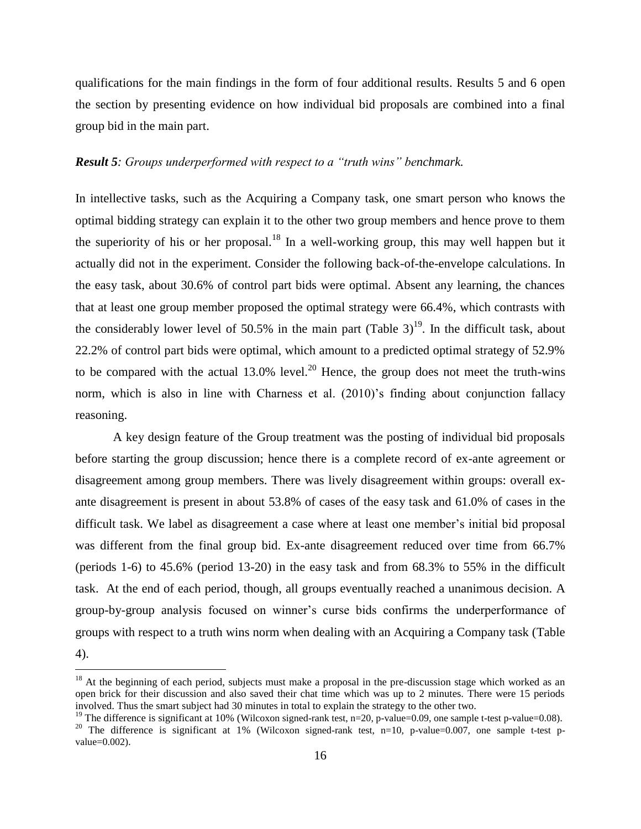qualifications for the main findings in the form of four additional results. Results 5 and 6 open the section by presenting evidence on how individual bid proposals are combined into a final group bid in the main part.

### *Result 5: Groups underperformed with respect to a "truth wins" benchmark.*

In intellective tasks, such as the Acquiring a Company task, one smart person who knows the optimal bidding strategy can explain it to the other two group members and hence prove to them the superiority of his or her proposal.<sup>18</sup> In a well-working group, this may well happen but it actually did not in the experiment. Consider the following back-of-the-envelope calculations. In the easy task, about 30.6% of control part bids were optimal. Absent any learning, the chances that at least one group member proposed the optimal strategy were 66.4%, which contrasts with the considerably lower level of 50.5% in the main part (Table  $3$ )<sup>19</sup>. In the difficult task, about 22.2% of control part bids were optimal, which amount to a predicted optimal strategy of 52.9% to be compared with the actual 13.0% level.<sup>20</sup> Hence, the group does not meet the truth-wins norm, which is also in line with Charness et al. (2010)'s finding about conjunction fallacy reasoning.

A key design feature of the Group treatment was the posting of individual bid proposals before starting the group discussion; hence there is a complete record of ex-ante agreement or disagreement among group members. There was lively disagreement within groups: overall exante disagreement is present in about 53.8% of cases of the easy task and 61.0% of cases in the difficult task. We label as disagreement a case where at least one member's initial bid proposal was different from the final group bid. Ex-ante disagreement reduced over time from 66.7% (periods 1-6) to 45.6% (period 13-20) in the easy task and from 68.3% to 55% in the difficult task. At the end of each period, though, all groups eventually reached a unanimous decision. A group-by-group analysis focused on winner's curse bids confirms the underperformance of groups with respect to a truth wins norm when dealing with an Acquiring a Company task (Table

<sup>4).</sup>  $\overline{a}$ 

 $18$  At the beginning of each period, subjects must make a proposal in the pre-discussion stage which worked as an open brick for their discussion and also saved their chat time which was up to 2 minutes. There were 15 periods involved. Thus the smart subject had 30 minutes in total to explain the strategy to the other two.

<sup>&</sup>lt;sup>19</sup> The difference is significant at 10% (Wilcoxon signed-rank test, n=20, p-value=0.09, one sample t-test p-value=0.08).

<sup>&</sup>lt;sup>20</sup> The difference is significant at 1% (Wilcoxon signed-rank test, n=10, p-value=0.007, one sample t-test pvalue=0.002).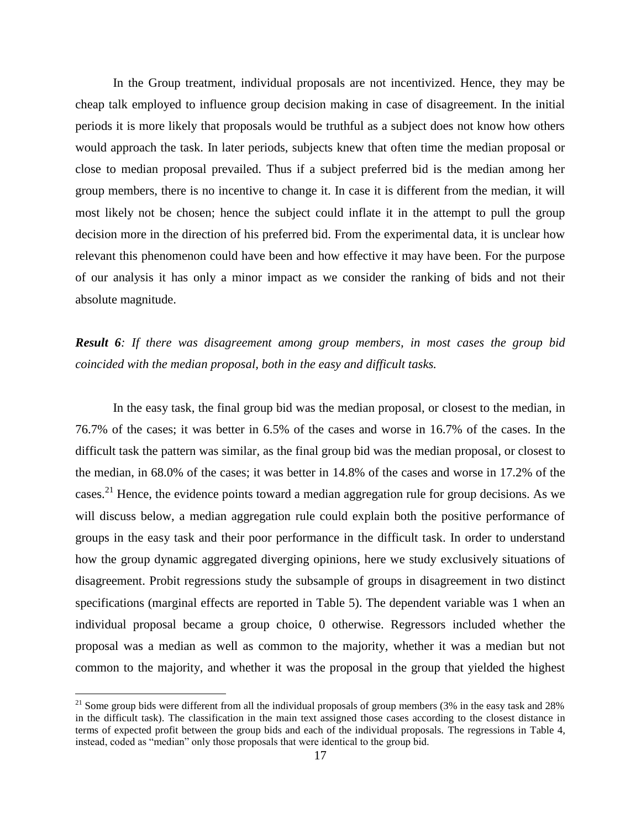In the Group treatment, individual proposals are not incentivized. Hence, they may be cheap talk employed to influence group decision making in case of disagreement. In the initial periods it is more likely that proposals would be truthful as a subject does not know how others would approach the task. In later periods, subjects knew that often time the median proposal or close to median proposal prevailed. Thus if a subject preferred bid is the median among her group members, there is no incentive to change it. In case it is different from the median, it will most likely not be chosen; hence the subject could inflate it in the attempt to pull the group decision more in the direction of his preferred bid. From the experimental data, it is unclear how relevant this phenomenon could have been and how effective it may have been. For the purpose of our analysis it has only a minor impact as we consider the ranking of bids and not their absolute magnitude.

# *Result 6: If there was disagreement among group members, in most cases the group bid coincided with the median proposal, both in the easy and difficult tasks.*

In the easy task, the final group bid was the median proposal, or closest to the median, in 76.7% of the cases; it was better in 6.5% of the cases and worse in 16.7% of the cases. In the difficult task the pattern was similar, as the final group bid was the median proposal, or closest to the median, in 68.0% of the cases; it was better in 14.8% of the cases and worse in 17.2% of the cases.<sup>21</sup> Hence, the evidence points toward a median aggregation rule for group decisions. As we will discuss below, a median aggregation rule could explain both the positive performance of groups in the easy task and their poor performance in the difficult task. In order to understand how the group dynamic aggregated diverging opinions, here we study exclusively situations of disagreement. Probit regressions study the subsample of groups in disagreement in two distinct specifications (marginal effects are reported in Table 5). The dependent variable was 1 when an individual proposal became a group choice, 0 otherwise. Regressors included whether the proposal was a median as well as common to the majority, whether it was a median but not common to the majority, and whether it was the proposal in the group that yielded the highest

<sup>&</sup>lt;sup>21</sup> Some group bids were different from all the individual proposals of group members (3% in the easy task and 28%) in the difficult task). The classification in the main text assigned those cases according to the closest distance in terms of expected profit between the group bids and each of the individual proposals. The regressions in Table 4, instead, coded as "median" only those proposals that were identical to the group bid.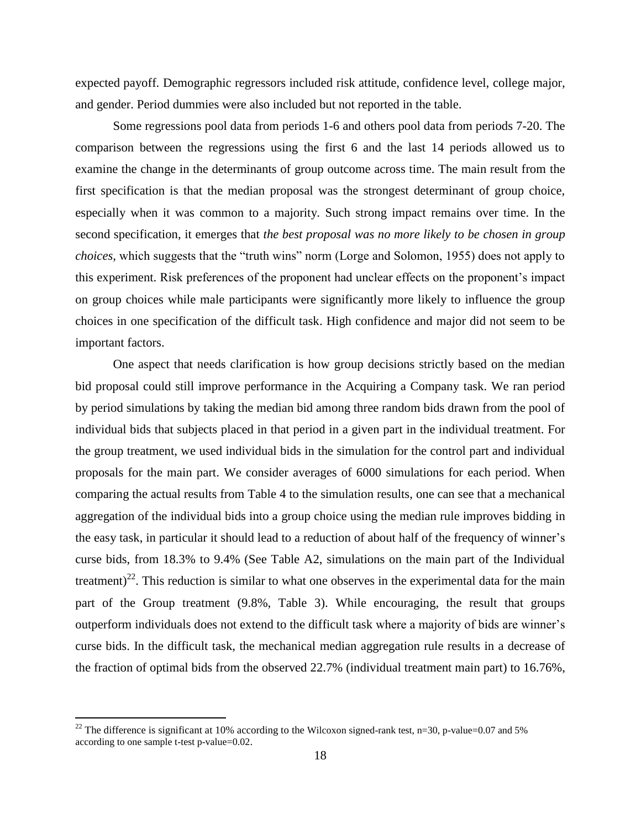expected payoff. Demographic regressors included risk attitude, confidence level, college major, and gender. Period dummies were also included but not reported in the table.

Some regressions pool data from periods 1-6 and others pool data from periods 7-20. The comparison between the regressions using the first 6 and the last 14 periods allowed us to examine the change in the determinants of group outcome across time. The main result from the first specification is that the median proposal was the strongest determinant of group choice, especially when it was common to a majority. Such strong impact remains over time. In the second specification, it emerges that *the best proposal was no more likely to be chosen in group choices*, which suggests that the "truth wins" norm (Lorge and Solomon, 1955) does not apply to this experiment. Risk preferences of the proponent had unclear effects on the proponent's impact on group choices while male participants were significantly more likely to influence the group choices in one specification of the difficult task. High confidence and major did not seem to be important factors.

One aspect that needs clarification is how group decisions strictly based on the median bid proposal could still improve performance in the Acquiring a Company task. We ran period by period simulations by taking the median bid among three random bids drawn from the pool of individual bids that subjects placed in that period in a given part in the individual treatment. For the group treatment, we used individual bids in the simulation for the control part and individual proposals for the main part. We consider averages of 6000 simulations for each period. When comparing the actual results from Table 4 to the simulation results, one can see that a mechanical aggregation of the individual bids into a group choice using the median rule improves bidding in the easy task, in particular it should lead to a reduction of about half of the frequency of winner's curse bids, from 18.3% to 9.4% (See Table A2, simulations on the main part of the Individual treatment)<sup>22</sup>. This reduction is similar to what one observes in the experimental data for the main part of the Group treatment (9.8%, Table 3). While encouraging, the result that groups outperform individuals does not extend to the difficult task where a majority of bids are winner's curse bids. In the difficult task, the mechanical median aggregation rule results in a decrease of the fraction of optimal bids from the observed 22.7% (individual treatment main part) to 16.76%,

<sup>&</sup>lt;sup>22</sup> The difference is significant at 10% according to the Wilcoxon signed-rank test, n=30, p-value=0.07 and 5% according to one sample t-test p-value=0.02.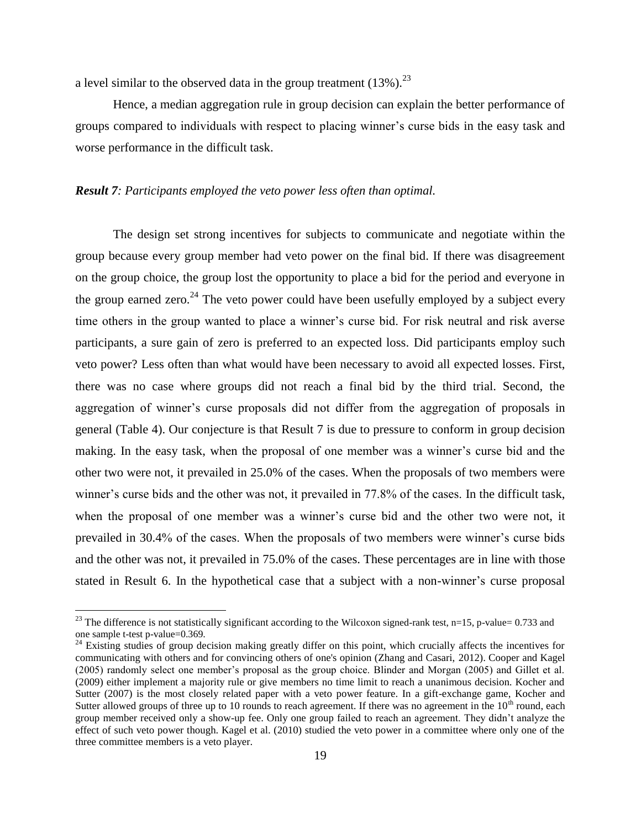a level similar to the observed data in the group treatment  $(13\%)$ .<sup>23</sup>

Hence, a median aggregation rule in group decision can explain the better performance of groups compared to individuals with respect to placing winner's curse bids in the easy task and worse performance in the difficult task.

### *Result 7: Participants employed the veto power less often than optimal.*

The design set strong incentives for subjects to communicate and negotiate within the group because every group member had veto power on the final bid. If there was disagreement on the group choice, the group lost the opportunity to place a bid for the period and everyone in the group earned zero.<sup>24</sup> The veto power could have been usefully employed by a subject every time others in the group wanted to place a winner's curse bid. For risk neutral and risk averse participants, a sure gain of zero is preferred to an expected loss. Did participants employ such veto power? Less often than what would have been necessary to avoid all expected losses. First, there was no case where groups did not reach a final bid by the third trial. Second, the aggregation of winner's curse proposals did not differ from the aggregation of proposals in general (Table 4). Our conjecture is that Result 7 is due to pressure to conform in group decision making. In the easy task, when the proposal of one member was a winner's curse bid and the other two were not, it prevailed in 25.0% of the cases. When the proposals of two members were winner's curse bids and the other was not, it prevailed in 77.8% of the cases. In the difficult task, when the proposal of one member was a winner's curse bid and the other two were not, it prevailed in 30.4% of the cases. When the proposals of two members were winner's curse bids and the other was not, it prevailed in 75.0% of the cases. These percentages are in line with those stated in Result 6. In the hypothetical case that a subject with a non-winner's curse proposal

<sup>&</sup>lt;sup>23</sup> The difference is not statistically significant according to the Wilcoxon signed-rank test, n=15, p-value= 0.733 and one sample t-test p-value=0.369.

<sup>&</sup>lt;sup>24</sup> Existing studies of group decision making greatly differ on this point, which crucially affects the incentives for communicating with others and for convincing others of one's opinion (Zhang and Casari, 2012). Cooper and Kagel (2005) randomly select one member's proposal as the group choice. Blinder and Morgan (2005) and Gillet et al. (2009) either implement a majority rule or give members no time limit to reach a unanimous decision. Kocher and Sutter (2007) is the most closely related paper with a veto power feature. In a gift-exchange game, Kocher and Sutter allowed groups of three up to 10 rounds to reach agreement. If there was no agreement in the  $10<sup>th</sup>$  round, each group member received only a show-up fee. Only one group failed to reach an agreement. They didn't analyze the effect of such veto power though. Kagel et al. (2010) studied the veto power in a committee where only one of the three committee members is a veto player.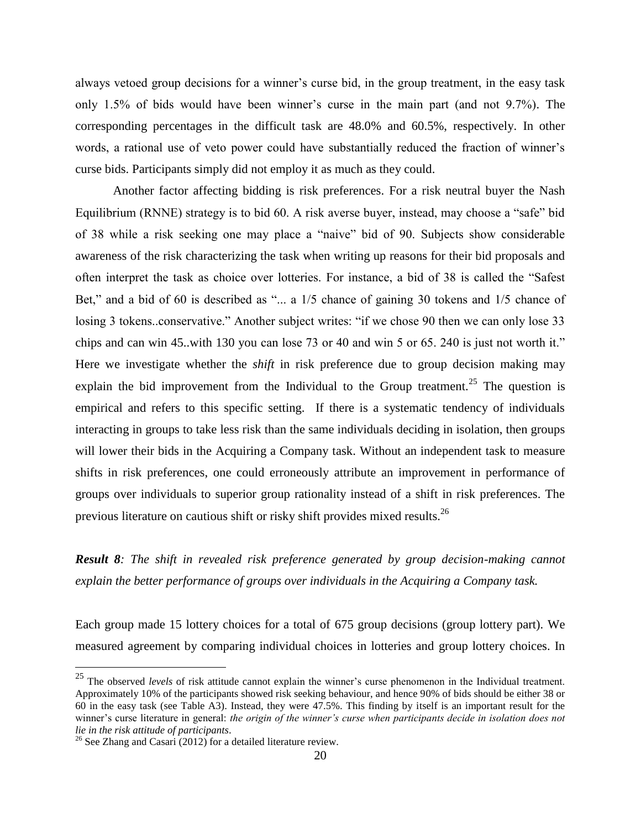always vetoed group decisions for a winner's curse bid, in the group treatment, in the easy task only 1.5% of bids would have been winner's curse in the main part (and not 9.7%). The corresponding percentages in the difficult task are 48.0% and 60.5%, respectively. In other words, a rational use of veto power could have substantially reduced the fraction of winner's curse bids. Participants simply did not employ it as much as they could.

Another factor affecting bidding is risk preferences. For a risk neutral buyer the Nash Equilibrium (RNNE) strategy is to bid 60. A risk averse buyer, instead, may choose a "safe" bid of 38 while a risk seeking one may place a "naive" bid of 90. Subjects show considerable awareness of the risk characterizing the task when writing up reasons for their bid proposals and often interpret the task as choice over lotteries. For instance, a bid of 38 is called the "Safest" Bet," and a bid of 60 is described as "... a 1/5 chance of gaining 30 tokens and 1/5 chance of losing 3 tokens..conservative." Another subject writes: "if we chose 90 then we can only lose 33 chips and can win 45. with 130 you can lose 73 or 40 and win 5 or 65. 240 is just not worth it." Here we investigate whether the *shift* in risk preference due to group decision making may explain the bid improvement from the Individual to the Group treatment.<sup>25</sup> The question is empirical and refers to this specific setting. If there is a systematic tendency of individuals interacting in groups to take less risk than the same individuals deciding in isolation, then groups will lower their bids in the Acquiring a Company task. Without an independent task to measure shifts in risk preferences, one could erroneously attribute an improvement in performance of groups over individuals to superior group rationality instead of a shift in risk preferences. The previous literature on cautious shift or risky shift provides mixed results.<sup>26</sup>

*Result 8: The shift in revealed risk preference generated by group decision-making cannot explain the better performance of groups over individuals in the Acquiring a Company task.*

Each group made 15 lottery choices for a total of 675 group decisions (group lottery part). We measured agreement by comparing individual choices in lotteries and group lottery choices. In

<sup>25</sup> The observed *levels* of risk attitude cannot explain the winner's curse phenomenon in the Individual treatment. Approximately 10% of the participants showed risk seeking behaviour, and hence 90% of bids should be either 38 or 60 in the easy task (see Table A3). Instead, they were 47.5%. This finding by itself is an important result for the winner's curse literature in general: *the origin of the winner's curse when participants decide in isolation does not lie in the risk attitude of participants*.

<sup>&</sup>lt;sup>26</sup> See Zhang and Casari (2012) for a detailed literature review.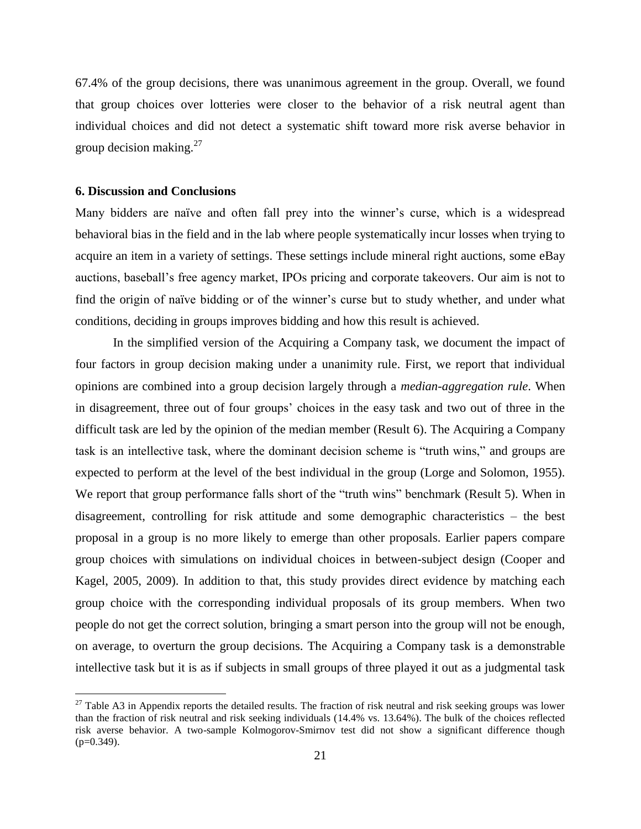67.4% of the group decisions, there was unanimous agreement in the group. Overall, we found that group choices over lotteries were closer to the behavior of a risk neutral agent than individual choices and did not detect a systematic shift toward more risk averse behavior in group decision making. $27$ 

#### **6. Discussion and Conclusions**

 $\overline{a}$ 

Many bidders are naïve and often fall prey into the winner's curse, which is a widespread behavioral bias in the field and in the lab where people systematically incur losses when trying to acquire an item in a variety of settings. These settings include mineral right auctions, some eBay auctions, baseball's free agency market, IPOs pricing and corporate takeovers. Our aim is not to find the origin of naïve bidding or of the winner's curse but to study whether, and under what conditions, deciding in groups improves bidding and how this result is achieved.

In the simplified version of the Acquiring a Company task, we document the impact of four factors in group decision making under a unanimity rule. First, we report that individual opinions are combined into a group decision largely through a *median-aggregation rule*. When in disagreement, three out of four groups' choices in the easy task and two out of three in the difficult task are led by the opinion of the median member (Result 6). The Acquiring a Company task is an intellective task, where the dominant decision scheme is "truth wins," and groups are expected to perform at the level of the best individual in the group (Lorge and Solomon, 1955). We report that group performance falls short of the "truth wins" benchmark (Result 5). When in disagreement, controlling for risk attitude and some demographic characteristics – the best proposal in a group is no more likely to emerge than other proposals. Earlier papers compare group choices with simulations on individual choices in between-subject design (Cooper and Kagel, 2005, 2009). In addition to that, this study provides direct evidence by matching each group choice with the corresponding individual proposals of its group members. When two people do not get the correct solution, bringing a smart person into the group will not be enough, on average, to overturn the group decisions. The Acquiring a Company task is a demonstrable intellective task but it is as if subjects in small groups of three played it out as a judgmental task

 $27$  Table A3 in Appendix reports the detailed results. The fraction of risk neutral and risk seeking groups was lower than the fraction of risk neutral and risk seeking individuals (14.4% vs. 13.64%). The bulk of the choices reflected risk averse behavior. A two-sample Kolmogorov-Smirnov test did not show a significant difference though  $(p=0.349)$ .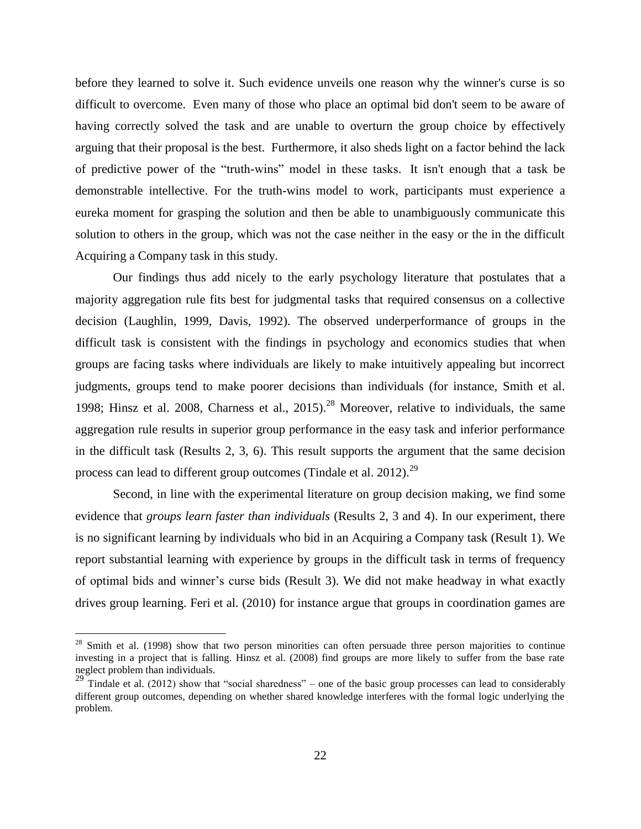before they learned to solve it. Such evidence unveils one reason why the winner's curse is so difficult to overcome. Even many of those who place an optimal bid don't seem to be aware of having correctly solved the task and are unable to overturn the group choice by effectively arguing that their proposal is the best. Furthermore, it also sheds light on a factor behind the lack of predictive power of the "truth-wins" model in these tasks. It isn't enough that a task be demonstrable intellective. For the truth-wins model to work, participants must experience a eureka moment for grasping the solution and then be able to unambiguously communicate this solution to others in the group, which was not the case neither in the easy or the in the difficult Acquiring a Company task in this study.

Our findings thus add nicely to the early psychology literature that postulates that a majority aggregation rule fits best for judgmental tasks that required consensus on a collective decision (Laughlin, 1999, Davis, 1992). The observed underperformance of groups in the difficult task is consistent with the findings in psychology and economics studies that when groups are facing tasks where individuals are likely to make intuitively appealing but incorrect judgments, groups tend to make poorer decisions than individuals (for instance, Smith et al. 1998; Hinsz et al. 2008, Charness et al., 2015).<sup>28</sup> Moreover, relative to individuals, the same aggregation rule results in superior group performance in the easy task and inferior performance in the difficult task (Results 2, 3, 6). This result supports the argument that the same decision process can lead to different group outcomes (Tindale et al. 2012).<sup>29</sup>

Second, in line with the experimental literature on group decision making, we find some evidence that *groups learn faster than individuals* (Results 2, 3 and 4). In our experiment, there is no significant learning by individuals who bid in an Acquiring a Company task (Result 1). We report substantial learning with experience by groups in the difficult task in terms of frequency of optimal bids and winner's curse bids (Result 3). We did not make headway in what exactly drives group learning. Feri et al. (2010) for instance argue that groups in coordination games are

<sup>&</sup>lt;sup>28</sup> Smith et al. (1998) show that two person minorities can often persuade three person majorities to continue investing in a project that is falling. Hinsz et al. (2008) find groups are more likely to suffer from the base rate neglect problem than individuals.

<sup>29</sup> Tindale et al. (2012) show that "social sharedness" – one of the basic group processes can lead to considerably different group outcomes, depending on whether shared knowledge interferes with the formal logic underlying the problem.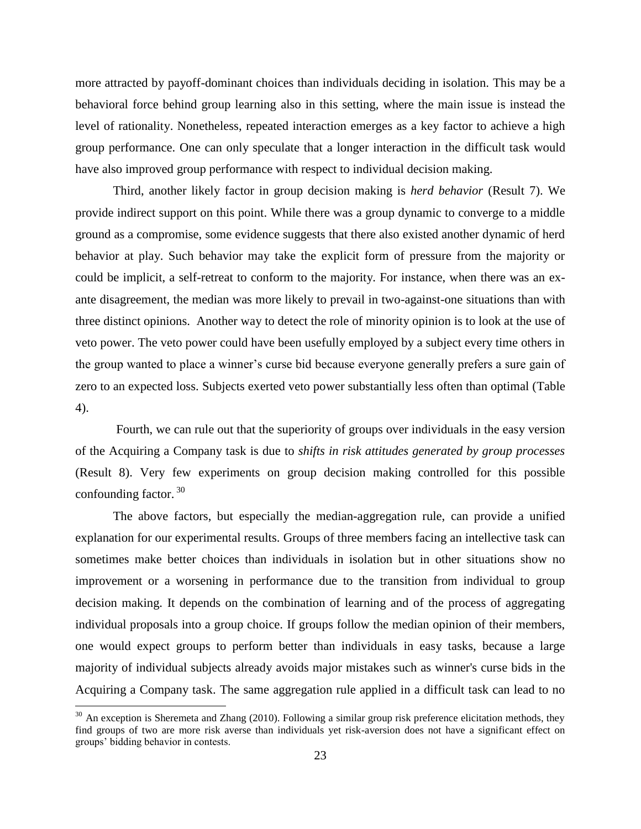more attracted by payoff-dominant choices than individuals deciding in isolation. This may be a behavioral force behind group learning also in this setting, where the main issue is instead the level of rationality. Nonetheless, repeated interaction emerges as a key factor to achieve a high group performance. One can only speculate that a longer interaction in the difficult task would have also improved group performance with respect to individual decision making.

Third, another likely factor in group decision making is *herd behavior* (Result 7). We provide indirect support on this point. While there was a group dynamic to converge to a middle ground as a compromise, some evidence suggests that there also existed another dynamic of herd behavior at play. Such behavior may take the explicit form of pressure from the majority or could be implicit, a self-retreat to conform to the majority. For instance, when there was an exante disagreement, the median was more likely to prevail in two-against-one situations than with three distinct opinions. Another way to detect the role of minority opinion is to look at the use of veto power. The veto power could have been usefully employed by a subject every time others in the group wanted to place a winner's curse bid because everyone generally prefers a sure gain of zero to an expected loss. Subjects exerted veto power substantially less often than optimal (Table 4).

Fourth, we can rule out that the superiority of groups over individuals in the easy version of the Acquiring a Company task is due to *shifts in risk attitudes generated by group processes* (Result 8). Very few experiments on group decision making controlled for this possible confounding factor. <sup>30</sup>

The above factors, but especially the median-aggregation rule, can provide a unified explanation for our experimental results. Groups of three members facing an intellective task can sometimes make better choices than individuals in isolation but in other situations show no improvement or a worsening in performance due to the transition from individual to group decision making. It depends on the combination of learning and of the process of aggregating individual proposals into a group choice. If groups follow the median opinion of their members, one would expect groups to perform better than individuals in easy tasks, because a large majority of individual subjects already avoids major mistakes such as winner's curse bids in the Acquiring a Company task. The same aggregation rule applied in a difficult task can lead to no

 $30$  An exception is Sheremeta and Zhang (2010). Following a similar group risk preference elicitation methods, they find groups of two are more risk averse than individuals yet risk-aversion does not have a significant effect on groups' bidding behavior in contests.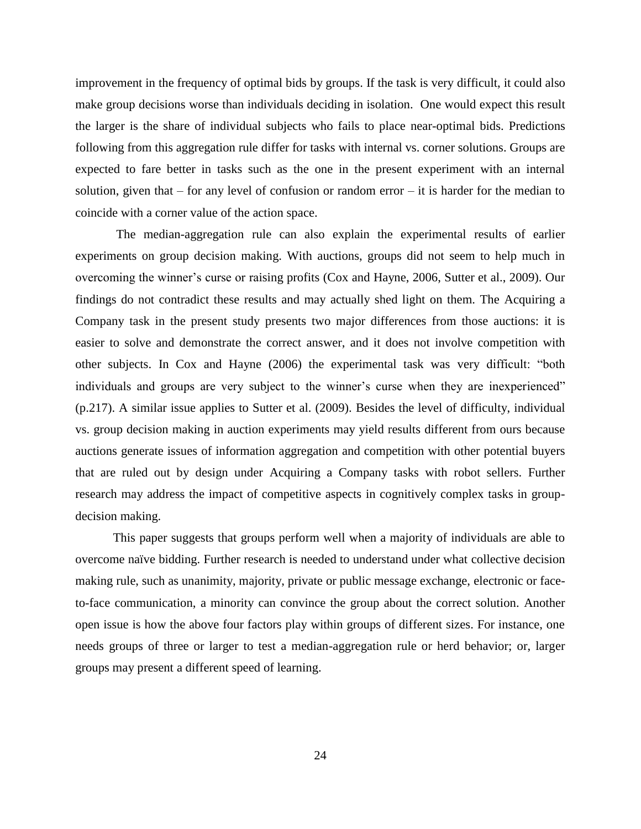improvement in the frequency of optimal bids by groups. If the task is very difficult, it could also make group decisions worse than individuals deciding in isolation. One would expect this result the larger is the share of individual subjects who fails to place near-optimal bids. Predictions following from this aggregation rule differ for tasks with internal vs. corner solutions. Groups are expected to fare better in tasks such as the one in the present experiment with an internal solution, given that  $-$  for any level of confusion or random error  $-$  it is harder for the median to coincide with a corner value of the action space.

The median-aggregation rule can also explain the experimental results of earlier experiments on group decision making. With auctions, groups did not seem to help much in overcoming the winner's curse or raising profits (Cox and Hayne, 2006, Sutter et al., 2009). Our findings do not contradict these results and may actually shed light on them. The Acquiring a Company task in the present study presents two major differences from those auctions: it is easier to solve and demonstrate the correct answer, and it does not involve competition with other subjects. In Cox and Hayne (2006) the experimental task was very difficult: "both individuals and groups are very subject to the winner's curse when they are inexperienced" (p.217). A similar issue applies to Sutter et al. (2009). Besides the level of difficulty, individual vs. group decision making in auction experiments may yield results different from ours because auctions generate issues of information aggregation and competition with other potential buyers that are ruled out by design under Acquiring a Company tasks with robot sellers. Further research may address the impact of competitive aspects in cognitively complex tasks in groupdecision making.

This paper suggests that groups perform well when a majority of individuals are able to overcome naïve bidding. Further research is needed to understand under what collective decision making rule, such as unanimity, majority, private or public message exchange, electronic or faceto-face communication, a minority can convince the group about the correct solution. Another open issue is how the above four factors play within groups of different sizes. For instance, one needs groups of three or larger to test a median-aggregation rule or herd behavior; or, larger groups may present a different speed of learning.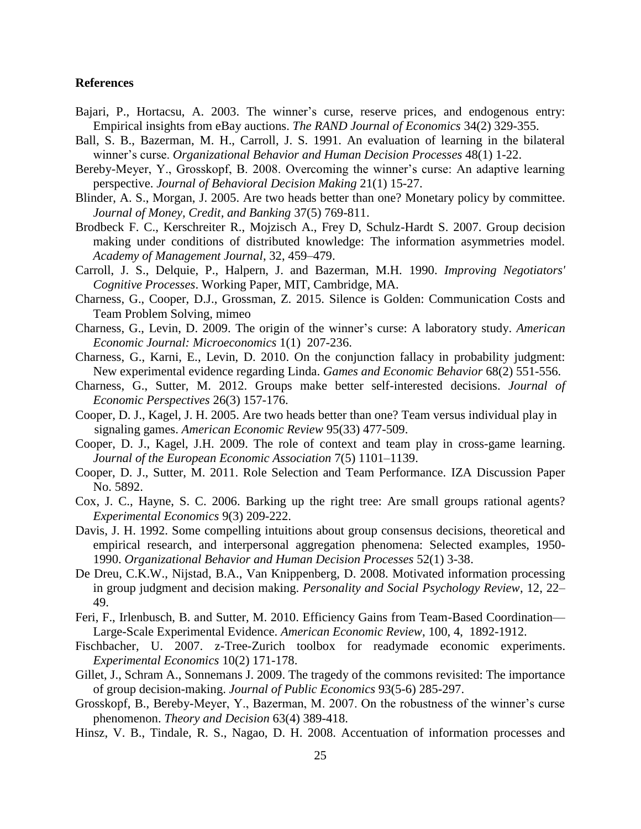#### **References**

- Bajari, P., Hortacsu, A. 2003. The winner's curse, reserve prices, and endogenous entry: Empirical insights from eBay auctions. *The RAND Journal of Economics* 34(2) 329-355.
- Ball, S. B., Bazerman, M. H., Carroll, J. S. 1991. An evaluation of learning in the bilateral winner's curse. *Organizational Behavior and Human Decision Processes* 48(1) 1-22.
- Bereby-Meyer, Y., Grosskopf, B. 2008. Overcoming the winner's curse: An adaptive learning perspective. *Journal of Behavioral Decision Making* 21(1) 15-27.
- Blinder, A. S., Morgan, J. 2005. Are two heads better than one? Monetary policy by committee. *Journal of Money, Credit, and Banking* 37(5) 769-811.
- Brodbeck F. C., Kerschreiter R., Mojzisch A., Frey D, Schulz-Hardt S. 2007. Group decision making under conditions of distributed knowledge: The information asymmetries model. *Academy of Management Journal*, 32, 459–479.
- Carroll, J. S., Delquie, P., Halpern, J. and Bazerman, M.H. 1990. *Improving Negotiators' Cognitive Processes*. Working Paper, MIT, Cambridge, MA.
- Charness, G., Cooper, D.J., Grossman, Z. 2015. Silence is Golden: Communication Costs and Team Problem Solving, mimeo
- Charness, G., Levin, D. 2009. The origin of the winner's curse: A laboratory study. *American Economic Journal: Microeconomics* 1(1) 207-236.
- Charness, G., Karni, E., Levin, D. 2010. On the conjunction fallacy in probability judgment: New experimental evidence regarding Linda. *Games and Economic Behavior* 68(2) 551-556.
- Charness, G., Sutter, M. 2012. Groups make better self-interested decisions. *Journal of Economic Perspectives* 26(3) 157-176.
- Cooper, D. J., Kagel, J. H. 2005. Are two heads better than one? Team versus individual play in signaling games. *American Economic Review* 95(33) 477-509.
- Cooper, D. J., Kagel, J.H. 2009. The role of context and team play in cross-game learning. *Journal of the European Economic Association* 7(5) 1101–1139.
- Cooper, D. J., Sutter, M. 2011. Role Selection and Team Performance. IZA Discussion Paper No. 5892.
- Cox, J. C., Hayne, S. C. 2006. Barking up the right tree: Are small groups rational agents? *Experimental Economics* 9(3) 209-222.
- Davis, J. H. 1992. Some compelling intuitions about group consensus decisions, theoretical and empirical research, and interpersonal aggregation phenomena: Selected examples, 1950- 1990. *Organizational Behavior and Human Decision Processes* 52(1) 3-38.
- De Dreu, C.K.W., Nijstad, B.A., Van Knippenberg, D. 2008. Motivated information processing in group judgment and decision making. *Personality and Social Psychology Review*, 12, 22– 49.
- Feri, F., Irlenbusch, B. and Sutter, M. 2010. Efficiency Gains from Team-Based Coordination— Large-Scale Experimental Evidence. *American Economic Review*, 100, 4, 1892-1912.
- Fischbacher, U. 2007. z-Tree-Zurich toolbox for readymade economic experiments. *Experimental Economics* 10(2) 171-178.
- Gillet, J., Schram A., Sonnemans J. 2009. The tragedy of the commons revisited: The importance of group decision-making. *Journal of Public Economics* 93(5-6) 285-297.
- Grosskopf, B., Bereby-Meyer, Y., Bazerman, M. 2007. On the robustness of the winner's curse phenomenon. *Theory and Decision* 63(4) 389-418.
- Hinsz, V. B., Tindale, R. S., Nagao, D. H. 2008. Accentuation of information processes and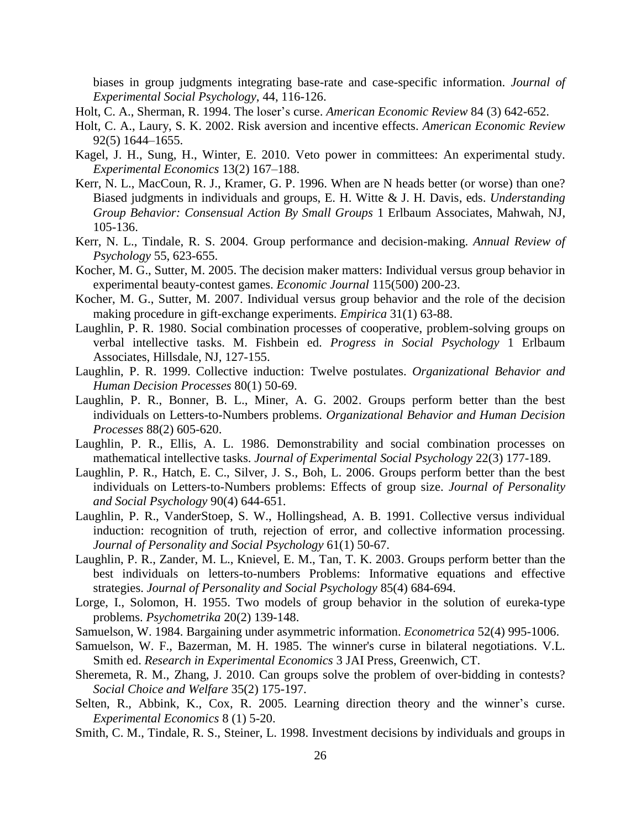biases in group judgments integrating base-rate and case-specific information. *Journal of Experimental Social Psychology*, 44, 116-126.

- Holt, C. A., Sherman, R. 1994. The loser's curse. *American Economic Review* 84 (3) 642-652.
- Holt, C. A., Laury, S. K. 2002. Risk aversion and incentive effects. *American Economic Review* 92(5) 1644–1655.
- Kagel, J. H., Sung, H., Winter, E. 2010. Veto power in committees: An experimental study. *Experimental Economics* 13(2) 167–188.
- Kerr, N. L., MacCoun, R. J., Kramer, G. P. 1996. When are N heads better (or worse) than one? Biased judgments in individuals and groups, E. H. Witte & J. H. Davis, eds. *Understanding Group Behavior: Consensual Action By Small Groups* 1 Erlbaum Associates, Mahwah, NJ, 105-136.
- Kerr, N. L., Tindale, R. S. 2004. Group performance and decision-making. *Annual Review of Psychology* 55, 623-655.
- Kocher, M. G., Sutter, M. 2005. The decision maker matters: Individual versus group behavior in experimental beauty-contest games. *Economic Journal* 115(500) 200-23.
- Kocher, M. G., Sutter, M. 2007. Individual versus group behavior and the role of the decision making procedure in gift-exchange experiments. *Empirica* 31(1) 63-88.
- Laughlin, P. R. 1980. Social combination processes of cooperative, problem-solving groups on verbal intellective tasks. M. Fishbein ed. *Progress in Social Psychology* 1 Erlbaum Associates, Hillsdale, NJ, 127-155.
- Laughlin, P. R. 1999. Collective induction: Twelve postulates. *Organizational Behavior and Human Decision Processes* 80(1) 50-69.
- Laughlin, P. R., Bonner, B. L., Miner, A. G. 2002. Groups perform better than the best individuals on Letters-to-Numbers problems. *Organizational Behavior and Human Decision Processes* 88(2) 605-620.
- Laughlin, P. R., Ellis, A. L. 1986. Demonstrability and social combination processes on mathematical intellective tasks. *Journal of Experimental Social Psychology* 22(3) 177-189.
- Laughlin, P. R., Hatch, E. C., Silver, J. S., Boh, L. 2006. Groups perform better than the best individuals on Letters-to-Numbers problems: Effects of group size. *Journal of Personality and Social Psychology* 90(4) 644-651.
- Laughlin, P. R., VanderStoep, S. W., Hollingshead, A. B. 1991. Collective versus individual induction: recognition of truth, rejection of error, and collective information processing. *Journal of Personality and Social Psychology* 61(1) 50-67.
- Laughlin, P. R., Zander, M. L., Knievel, E. M., Tan, T. K. 2003. Groups perform better than the best individuals on letters-to-numbers Problems: Informative equations and effective strategies. *Journal of Personality and Social Psychology* 85(4) 684-694.
- Lorge, I., Solomon, H. 1955. Two models of group behavior in the solution of eureka-type problems. *Psychometrika* 20(2) 139-148.
- Samuelson, W. 1984. Bargaining under asymmetric information. *Econometrica* 52(4) 995-1006.
- Samuelson, W. F., Bazerman, M. H. 1985. The winner's curse in bilateral negotiations. V.L. Smith ed. *Research in Experimental Economics* 3 JAI Press, Greenwich, CT.
- Sheremeta, R. M., Zhang, J. 2010. Can groups solve the problem of over-bidding in contests? *Social Choice and Welfare* 35(2) 175-197.
- Selten, R., Abbink, K., Cox, R. 2005. Learning direction theory and the winner's curse. *Experimental Economics* 8 (1) 5-20.
- Smith, C. M., Tindale, R. S., Steiner, L. 1998. Investment decisions by individuals and groups in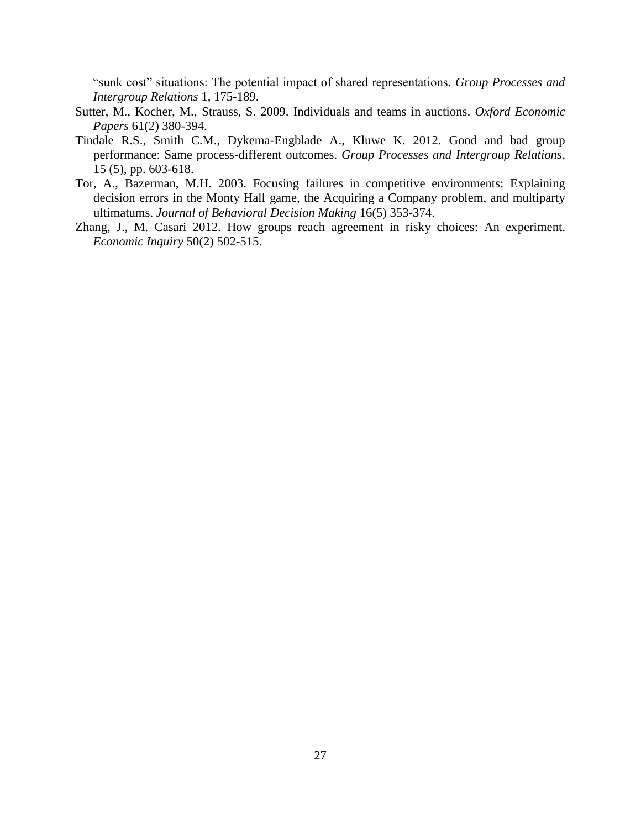―sunk cost‖ situations: The potential impact of shared representations. *Group Processes and Intergroup Relations* 1, 175-189.

- Sutter, M., Kocher, M., Strauss, S. 2009. Individuals and teams in auctions. *Oxford Economic Papers* 61(2) 380-394.
- Tindale R.S., Smith C.M., Dykema-Engblade A., Kluwe K. 2012. Good and bad group performance: Same process-different outcomes. *Group Processes and Intergroup Relations*, 15 (5), pp. 603-618.
- Tor, A., Bazerman, M.H. 2003. Focusing failures in competitive environments: Explaining decision errors in the Monty Hall game, the Acquiring a Company problem, and multiparty ultimatums. *Journal of Behavioral Decision Making* 16(5) 353-374.
- Zhang, J., M. Casari 2012. How groups reach agreement in risky choices: An experiment. *Economic Inquiry* 50(2) 502-515.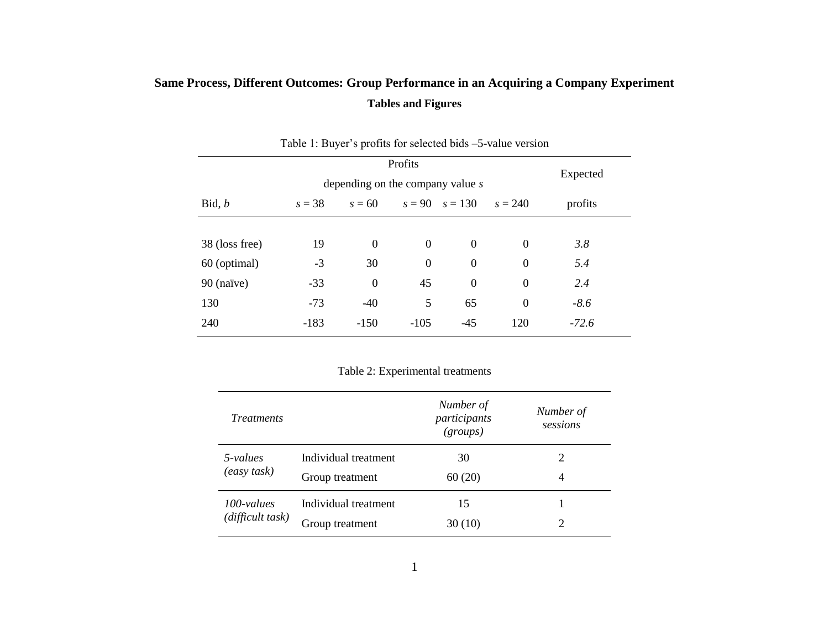# **Same Process, Different Outcomes: Group Performance in an Acquiring a Company Experiment Tables and Figures**

|                | Profits  |                |          |                    |                  |         |  |  |  |  |
|----------------|----------|----------------|----------|--------------------|------------------|---------|--|--|--|--|
|                | Expected |                |          |                    |                  |         |  |  |  |  |
| Bid, b         | $s = 38$ | $s = 60$       |          | $s = 90$ $s = 130$ | $s = 240$        | profits |  |  |  |  |
|                |          |                |          |                    |                  |         |  |  |  |  |
| 38 (loss free) | 19       | $\overline{0}$ | $\Omega$ | $\Omega$           | $\boldsymbol{0}$ | 3.8     |  |  |  |  |
| 60 (optimal)   | $-3$     | 30             | $\theta$ | $\overline{0}$     | $\overline{0}$   | 5.4     |  |  |  |  |
| $90$ (naïve)   | $-33$    | $\mathbf{0}$   | 45       | $\overline{0}$     | $\overline{0}$   | 2.4     |  |  |  |  |
| 130            | $-73$    | $-40$          | 5        | 65                 | $\boldsymbol{0}$ | $-8.6$  |  |  |  |  |
| 240            | $-183$   | $-150$         | $-105$   | $-45$              | 120              | $-72.6$ |  |  |  |  |
|                |          |                |          |                    |                  |         |  |  |  |  |

### Table 1: Buyer's profits for selected bids –5-value version

### Table 2: Experimental treatments

| <i>Treatments</i> |                      | Number of<br>participants<br>(groups) | Number of<br>sessions |
|-------------------|----------------------|---------------------------------------|-----------------------|
| 5-values          | Individual treatment | 30                                    | 2                     |
| (easy task)       | Group treatment      | 60(20)                                | 4                     |
| 100-values        | Individual treatment | 15                                    |                       |
| (difficult task)  | Group treatment      | 30 (10)                               |                       |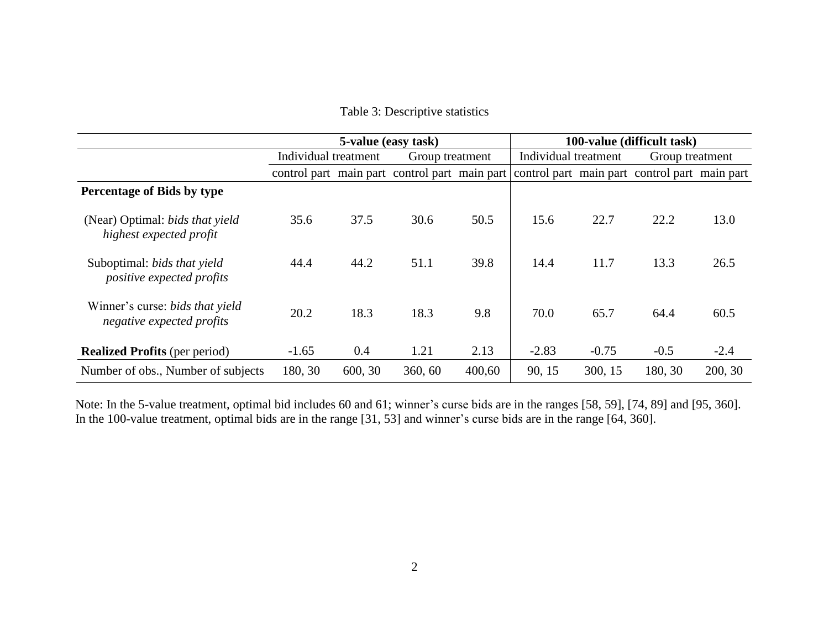| Table 3: Descriptive statistics |  |  |
|---------------------------------|--|--|
|---------------------------------|--|--|

|                                                                     |                      |         | 5-value (easy task)                           |                 | 100-value (difficult task) |                      |                                               |         |
|---------------------------------------------------------------------|----------------------|---------|-----------------------------------------------|-----------------|----------------------------|----------------------|-----------------------------------------------|---------|
|                                                                     | Individual treatment |         |                                               | Group treatment |                            | Individual treatment | Group treatment                               |         |
|                                                                     |                      |         | control part main part control part main part |                 |                            |                      | control part main part control part main part |         |
| Percentage of Bids by type                                          |                      |         |                                               |                 |                            |                      |                                               |         |
| (Near) Optimal: <i>bids that yield</i><br>highest expected profit   | 35.6                 | 37.5    | 30.6                                          | 50.5            | 15.6                       | 22.7                 | 22.2                                          | 13.0    |
| Suboptimal: bids that yield<br>positive expected profits            | 44.4                 | 44.2    | 51.1                                          | 39.8            | 14.4                       | 11.7                 | 13.3                                          | 26.5    |
| Winner's curse: <i>bids that yield</i><br>negative expected profits | 20.2                 | 18.3    | 18.3                                          | 9.8             | 70.0                       | 65.7                 | 64.4                                          | 60.5    |
| <b>Realized Profits (per period)</b>                                | $-1.65$              | 0.4     | 1.21                                          | 2.13            | $-2.83$                    | $-0.75$              | $-0.5$                                        | $-2.4$  |
| Number of obs., Number of subjects                                  | 180, 30              | 600, 30 | 360, 60                                       | 400,60          | 90, 15                     | 300, 15              | 180, 30                                       | 200, 30 |

Note: In the 5-value treatment, optimal bid includes 60 and 61; winner's curse bids are in the ranges [58, 59], [74, 89] and [95, 360]. In the 100-value treatment, optimal bids are in the range [31, 53] and winner's curse bids are in the range [64, 360].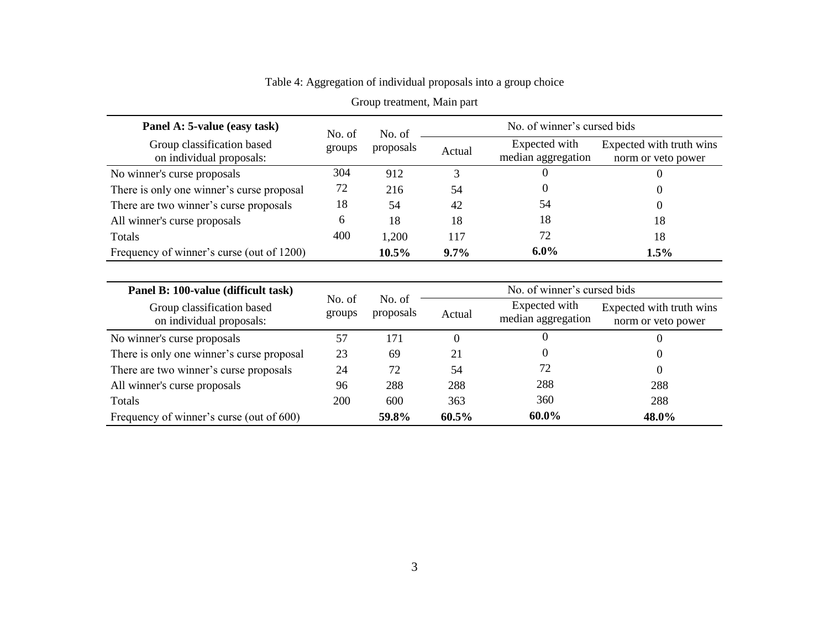| Panel A: 5-value (easy task)                           | No. of | No. of    | No. of winner's cursed bids |                                     |                                                |  |  |
|--------------------------------------------------------|--------|-----------|-----------------------------|-------------------------------------|------------------------------------------------|--|--|
| Group classification based<br>on individual proposals: | groups | proposals | Actual                      | Expected with<br>median aggregation | Expected with truth wins<br>norm or veto power |  |  |
| No winner's curse proposals                            | 304    | 912       |                             |                                     |                                                |  |  |
| There is only one winner's curse proposal              | 72     | 216       | 54                          |                                     |                                                |  |  |
| There are two winner's curse proposals                 | 18     | 54        | 42                          | 54                                  |                                                |  |  |
| All winner's curse proposals                           | 6      | 18        | 18                          | 18                                  | 18                                             |  |  |
| Totals                                                 | 400    | 1,200     | 117                         | 72                                  | 18                                             |  |  |
| Frequency of winner's curse (out of 1200)              |        | 10.5%     | $9.7\%$                     | $6.0\%$                             | 1.5%                                           |  |  |

# Table 4: Aggregation of individual proposals into a group choice

Group treatment, Main part

| Panel B: 100-value (difficult task)                    |                  | No. of<br>proposals | No. of winner's cursed bids |                                     |                                                |  |  |
|--------------------------------------------------------|------------------|---------------------|-----------------------------|-------------------------------------|------------------------------------------------|--|--|
| Group classification based<br>on individual proposals: | No. of<br>groups |                     | Actual                      | Expected with<br>median aggregation | Expected with truth wins<br>norm or veto power |  |  |
| No winner's curse proposals                            | 57               | 171                 | $\theta$                    |                                     |                                                |  |  |
| There is only one winner's curse proposal              | 23               | 69                  | 21                          |                                     |                                                |  |  |
| There are two winner's curse proposals                 | 24               | 72                  | 54                          | 72                                  |                                                |  |  |
| All winner's curse proposals                           | 96               | 288                 | 288                         | 288                                 | 288                                            |  |  |
| Totals                                                 | 200              | 600                 | 363                         | 360                                 | 288                                            |  |  |
| Frequency of winner's curse (out of 600)               |                  | 59.8%               | 60.5%                       | 60.0%                               | 48.0%                                          |  |  |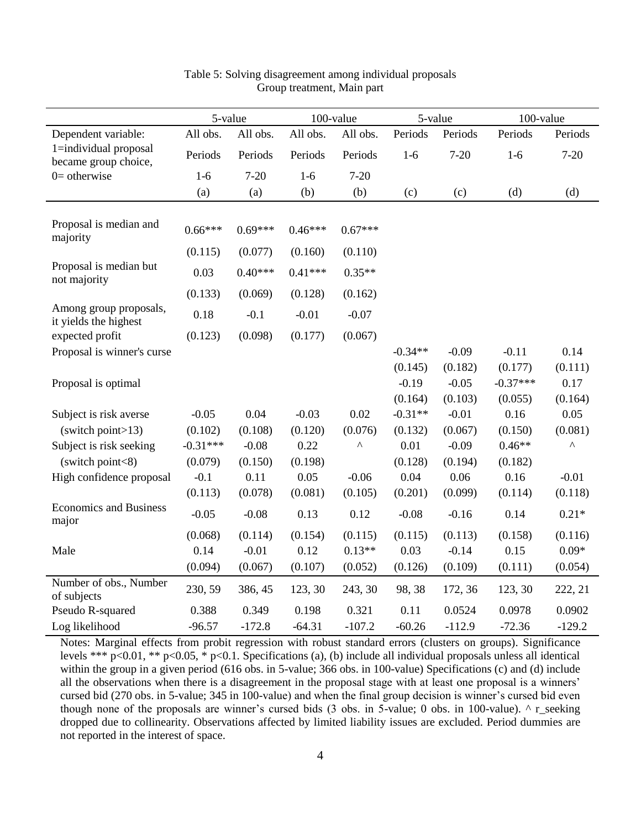|                                                 | 5-value    |           |           | 100-value |           | 5-value  | 100-value  |          |
|-------------------------------------------------|------------|-----------|-----------|-----------|-----------|----------|------------|----------|
| Dependent variable:                             | All obs.   | All obs.  | All obs.  | All obs.  | Periods   | Periods  | Periods    | Periods  |
| 1=individual proposal<br>became group choice,   | Periods    | Periods   | Periods   | Periods   | $1-6$     | $7 - 20$ | $1-6$      | $7 - 20$ |
| $0=$ otherwise                                  | $1-6$      | $7 - 20$  | $1-6$     | $7 - 20$  |           |          |            |          |
|                                                 | (a)        | (a)       | (b)       | (b)       | (c)       | (c)      | (d)        | (d)      |
|                                                 |            |           |           |           |           |          |            |          |
| Proposal is median and<br>majority              | $0.66***$  | $0.69***$ | $0.46***$ | $0.67***$ |           |          |            |          |
|                                                 | (0.115)    | (0.077)   | (0.160)   | (0.110)   |           |          |            |          |
| Proposal is median but<br>not majority          | 0.03       | $0.40***$ | $0.41***$ | $0.35**$  |           |          |            |          |
|                                                 | (0.133)    | (0.069)   | (0.128)   | (0.162)   |           |          |            |          |
| Among group proposals,<br>it yields the highest | 0.18       | $-0.1$    | $-0.01$   | $-0.07$   |           |          |            |          |
| expected profit                                 | (0.123)    | (0.098)   | (0.177)   | (0.067)   |           |          |            |          |
| Proposal is winner's curse                      |            |           |           |           | $-0.34**$ | $-0.09$  | $-0.11$    | 0.14     |
|                                                 |            |           |           |           | (0.145)   | (0.182)  | (0.177)    | (0.111)  |
| Proposal is optimal                             |            |           |           |           | $-0.19$   | $-0.05$  | $-0.37***$ | 0.17     |
|                                                 |            |           |           |           | (0.164)   | (0.103)  | (0.055)    | (0.164)  |
| Subject is risk averse                          | $-0.05$    | 0.04      | $-0.03$   | 0.02      | $-0.31**$ | $-0.01$  | 0.16       | 0.05     |
| (switch point>13)                               | (0.102)    | (0.108)   | (0.120)   | (0.076)   | (0.132)   | (0.067)  | (0.150)    | (0.081)  |
| Subject is risk seeking                         | $-0.31***$ | $-0.08$   | 0.22      | Λ         | 0.01      | $-0.09$  | $0.46**$   | Λ        |
| (switch point<8)                                | (0.079)    | (0.150)   | (0.198)   |           | (0.128)   | (0.194)  | (0.182)    |          |
| High confidence proposal                        | $-0.1$     | 0.11      | 0.05      | $-0.06$   | 0.04      | 0.06     | 0.16       | $-0.01$  |
|                                                 | (0.113)    | (0.078)   | (0.081)   | (0.105)   | (0.201)   | (0.099)  | (0.114)    | (0.118)  |
| <b>Economics and Business</b><br>major          | $-0.05$    | $-0.08$   | 0.13      | 0.12      | $-0.08$   | $-0.16$  | 0.14       | $0.21*$  |
|                                                 | (0.068)    | (0.114)   | (0.154)   | (0.115)   | (0.115)   | (0.113)  | (0.158)    | (0.116)  |
| Male                                            | 0.14       | $-0.01$   | 0.12      | $0.13**$  | 0.03      | $-0.14$  | 0.15       | $0.09*$  |
|                                                 | (0.094)    | (0.067)   | (0.107)   | (0.052)   | (0.126)   | (0.109)  | (0.111)    | (0.054)  |
| Number of obs., Number<br>of subjects           | 230, 59    | 386, 45   | 123, 30   | 243, 30   | 98,38     | 172, 36  | 123, 30    | 222, 21  |
| Pseudo R-squared                                | 0.388      | 0.349     | 0.198     | 0.321     | 0.11      | 0.0524   | 0.0978     | 0.0902   |
| Log likelihood                                  | $-96.57$   | $-172.8$  | $-64.31$  | $-107.2$  | $-60.26$  | $-112.9$ | $-72.36$   | $-129.2$ |

Table 5: Solving disagreement among individual proposals Group treatment, Main part

Notes: Marginal effects from probit regression with robust standard errors (clusters on groups). Significance levels \*\*\* p<0.01, \*\* p<0.05, \* p<0.1. Specifications (a), (b) include all individual proposals unless all identical within the group in a given period (616 obs. in 5-value; 366 obs. in 100-value) Specifications (c) and (d) include all the observations when there is a disagreement in the proposal stage with at least one proposal is a winners' cursed bid (270 obs. in 5-value; 345 in 100-value) and when the final group decision is winner's cursed bid even though none of the proposals are winner's cursed bids  $(3 \text{ obs. in } 5\text{-value})$ ; 0 obs. in 100-value).  $\land$  r\_seeking dropped due to collinearity. Observations affected by limited liability issues are excluded. Period dummies are not reported in the interest of space.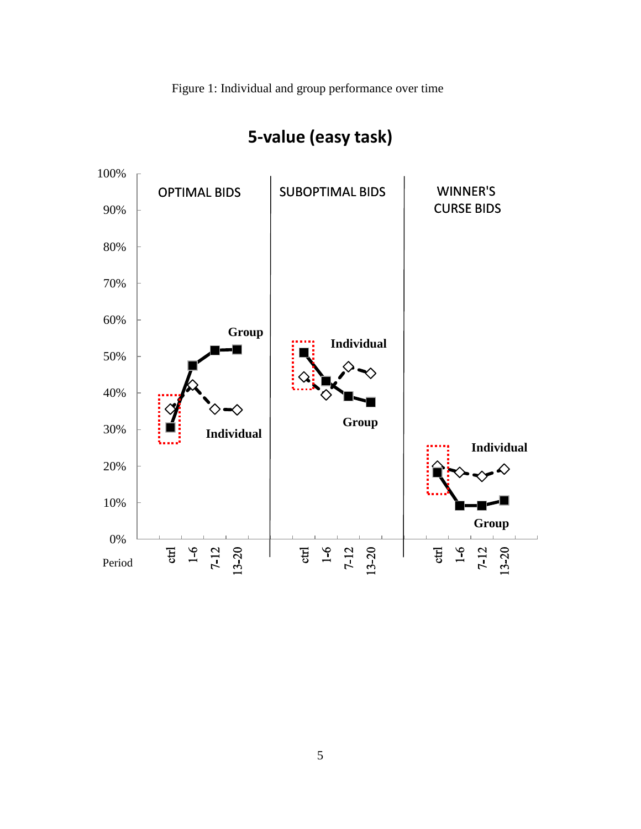Figure 1: Individual and group performance over time



**5-value (easy task)**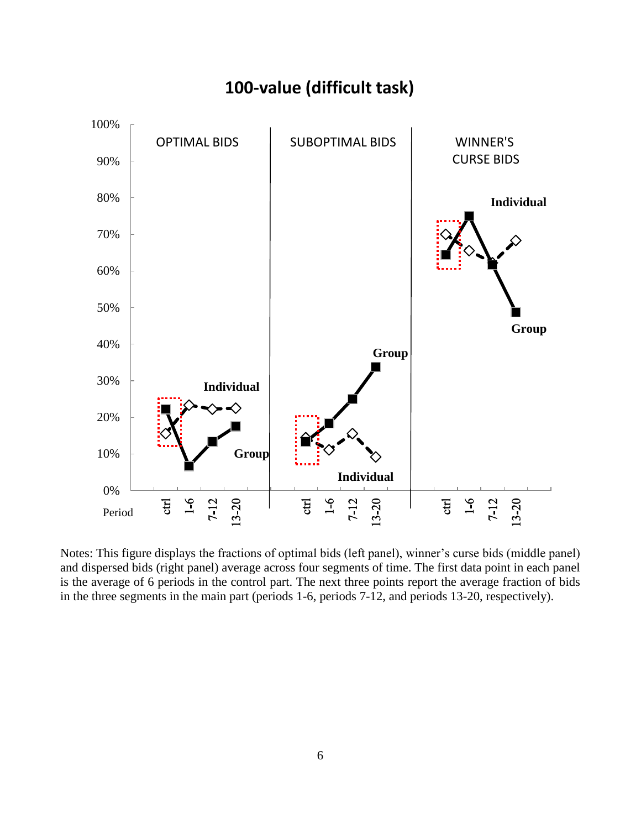

**100-value (difficult task)**

Notes: This figure displays the fractions of optimal bids (left panel), winner's curse bids (middle panel) and dispersed bids (right panel) average across four segments of time. The first data point in each panel is the average of 6 periods in the control part. The next three points report the average fraction of bids in the three segments in the main part (periods 1-6, periods 7-12, and periods 13-20, respectively).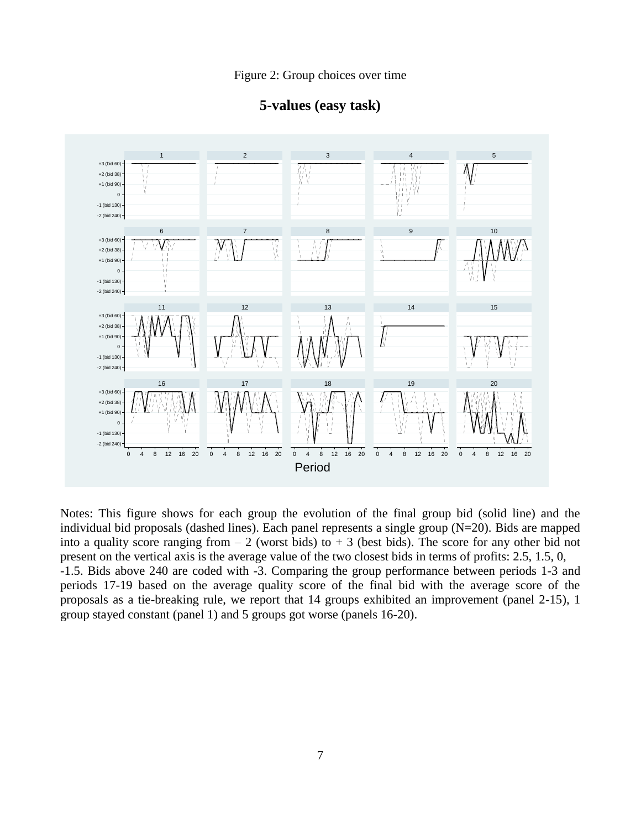Figure 2: Group choices over time

### **5-values (easy task)**



Notes: This figure shows for each group the evolution of the final group bid (solid line) and the individual bid proposals (dashed lines). Each panel represents a single group (N=20). Bids are mapped into a quality score ranging from  $-2$  (worst bids) to  $+3$  (best bids). The score for any other bid not present on the vertical axis is the average value of the two closest bids in terms of profits: 2.5, 1.5, 0, -1.5. Bids above 240 are coded with -3. Comparing the group performance between periods 1-3 and periods 17-19 based on the average quality score of the final bid with the average score of the proposals as a tie-breaking rule, we report that 14 groups exhibited an improvement (panel 2-15), 1 group stayed constant (panel 1) and 5 groups got worse (panels 16-20).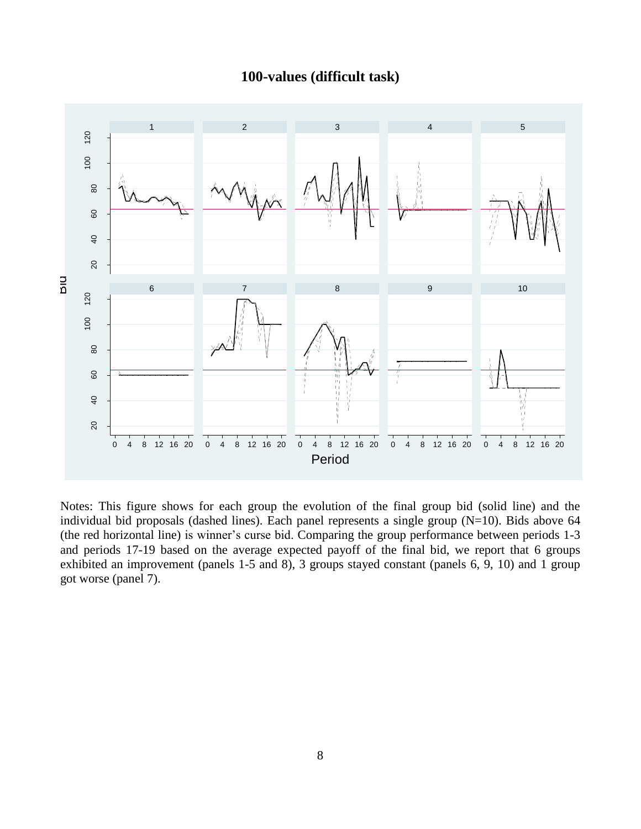### **100-values (difficult task)**



Notes: This figure shows for each group the evolution of the final group bid (solid line) and the individual bid proposals (dashed lines). Each panel represents a single group  $(N=10)$ . Bids above 64 (the red horizontal line) is winner's curse bid. Comparing the group performance between periods 1-3 and periods 17-19 based on the average expected payoff of the final bid, we report that 6 groups exhibited an improvement (panels 1-5 and 8), 3 groups stayed constant (panels 6, 9, 10) and 1 group got worse (panel 7).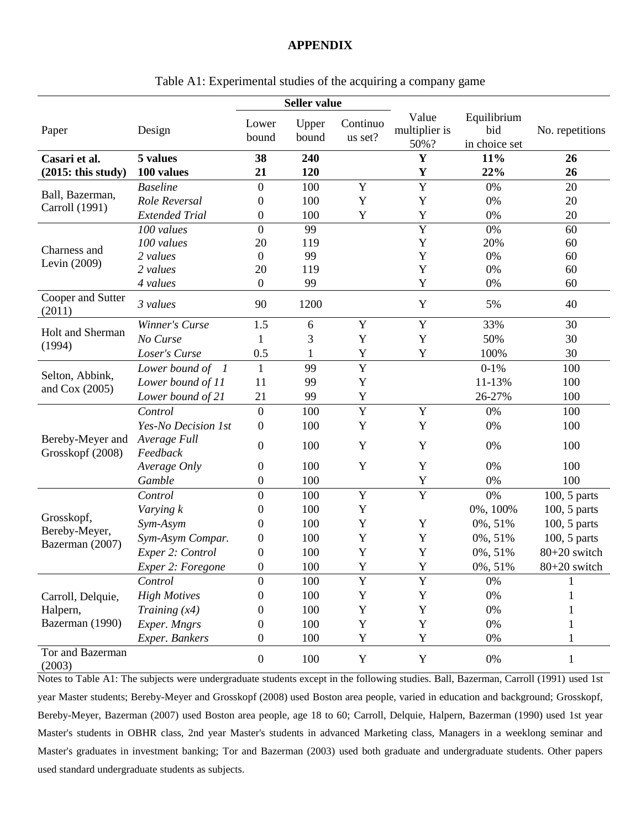### **APPENDIX**

|                                      |                          |                  | Seller value   |                     |                                |                                     |                 |
|--------------------------------------|--------------------------|------------------|----------------|---------------------|--------------------------------|-------------------------------------|-----------------|
| Paper                                | Design                   | Lower<br>bound   | Upper<br>bound | Continuo<br>us set? | Value<br>multiplier is<br>50%? | Equilibrium<br>bid<br>in choice set | No. repetitions |
| Casari et al.                        | 5 values                 | 38               | 240            |                     | $\mathbf Y$                    | 11%                                 | 26              |
| $(2015:$ this study)                 | 100 values               | 21               | 120            |                     | Y                              | 22%                                 | 26              |
|                                      | <b>Baseline</b>          | $\mathbf{0}$     | 100            | $\mathbf Y$         | $\overline{Y}$                 | 0%                                  | 20              |
| Ball, Bazerman,<br>Carroll (1991)    | Role Reversal            | $\boldsymbol{0}$ | 100            | Y                   | Y                              | 0%                                  | 20              |
|                                      | <b>Extended Trial</b>    | $\boldsymbol{0}$ | 100            | Y                   | Y                              | 0%                                  | 20              |
|                                      | 100 values               | $\boldsymbol{0}$ | 99             |                     | $\overline{Y}$                 | 0%                                  | 60              |
| Charness and                         | 100 values               | 20               | 119            |                     | Y                              | 20%                                 | 60              |
| Levin (2009)                         | 2 values                 | $\boldsymbol{0}$ | 99             |                     | Y                              | 0%                                  | 60              |
|                                      | 2 values                 | 20               | 119            |                     | Y                              | 0%                                  | 60              |
|                                      | 4 values                 | $\mathbf{0}$     | 99             |                     | Y                              | 0%                                  | 60              |
| Cooper and Sutter<br>(2011)          | 3 values                 | 90               | 1200           |                     | Y                              | 5%                                  | 40              |
|                                      | Winner's Curse           | 1.5              | 6              | Y                   | $\mathbf Y$                    | 33%                                 | 30              |
| Holt and Sherman<br>(1994)           | No Curse                 | 1                | 3              | Y                   | Y                              | 50%                                 | 30              |
|                                      | Loser's Curse            | 0.5              | 1              | $\mathbf Y$         | Y                              | 100%                                | 30              |
| Selton, Abbink,                      | Lower bound of 1         | 1                | 99             | Y                   |                                | $0-1%$                              | 100             |
|                                      | Lower bound of 11        | 11               | 99             | Y                   |                                | 11-13%                              | 100             |
| and $Cox(2005)$                      | Lower bound of 21        | 21               | 99             | Y                   |                                | 26-27%                              | 100             |
|                                      | Control                  | $\overline{0}$   | 100            | Y                   | Y                              | 0%                                  | 100             |
|                                      | Yes-No Decision 1st      | $\boldsymbol{0}$ | 100            | Y                   | Y                              | 0%                                  | 100             |
| Bereby-Meyer and<br>Grosskopf (2008) | Average Full<br>Feedback | $\boldsymbol{0}$ | 100            | Y                   | Y                              | 0%                                  | 100             |
|                                      | Average Only             | 0                | 100            | Y                   | Y                              | 0%                                  | 100             |
|                                      | Gamble                   | $\boldsymbol{0}$ | 100            |                     | Y                              | 0%                                  | 100             |
|                                      | Control                  | $\overline{0}$   | 100            | $\mathbf Y$         | Y                              | 0%                                  | 100, 5 parts    |
|                                      | Varying k                | $\boldsymbol{0}$ | 100            | $\mathbf Y$         |                                | 0%, 100%                            | 100, 5 parts    |
| Grosskopf,                           | Sym-Asym                 | 0                | 100            | Y                   | Y                              | 0%, 51%                             | 100, 5 parts    |
| Bereby-Meyer,                        | Sym-Asym Compar.         | 0                | 100            | Y                   | Y                              | 0%, 51%                             | $100, 5$ parts  |
| Bazerman (2007)                      | Exper 2: Control         | $\boldsymbol{0}$ | 100            | Y                   | Y                              | 0%, 51%                             | 80+20 switch    |
|                                      | Exper 2: Foregone        | $\boldsymbol{0}$ | 100            | $\mathbf Y$         | Y                              | 0%, 51%                             | 80+20 switch    |
|                                      | Control                  | $\mathbf{0}$     | 100            | $\mathbf Y$         | $\mathbf Y$                    | 0%                                  | 1               |
| Carroll, Delquie,                    | <b>High Motives</b>      | 0                | 100            | Y                   | Y                              | 0%                                  |                 |
| Halpern,                             | Training $(x4)$          | 0                | 100            | Y                   | Y                              | $0\%$                               |                 |
| Bazerman (1990)                      | Exper. Mngrs             | 0                | 100            | Y                   | Y                              | 0%                                  |                 |
|                                      | Exper. Bankers           | $\boldsymbol{0}$ | 100            | $\mathbf Y$         | $\mathbf Y$                    | 0%                                  |                 |
| Tor and Bazerman<br>(2003)           |                          | $\overline{0}$   | 100            | Y                   | Y                              | 0%                                  | $\mathbf{1}$    |

### Table A1: Experimental studies of the acquiring a company game

Notes to Table A1: The subjects were undergraduate students except in the following studies. Ball, Bazerman, Carroll (1991) used 1st year Master students; Bereby-Meyer and Grosskopf (2008) used Boston area people, varied in education and background; Grosskopf, Bereby-Meyer, Bazerman (2007) used Boston area people, age 18 to 60; Carroll, Delquie, Halpern, Bazerman (1990) used 1st year Master's students in OBHR class, 2nd year Master's students in advanced Marketing class, Managers in a weeklong seminar and Master's graduates in investment banking; Tor and Bazerman (2003) used both graduate and undergraduate students. Other papers used standard undergraduate students as subjects.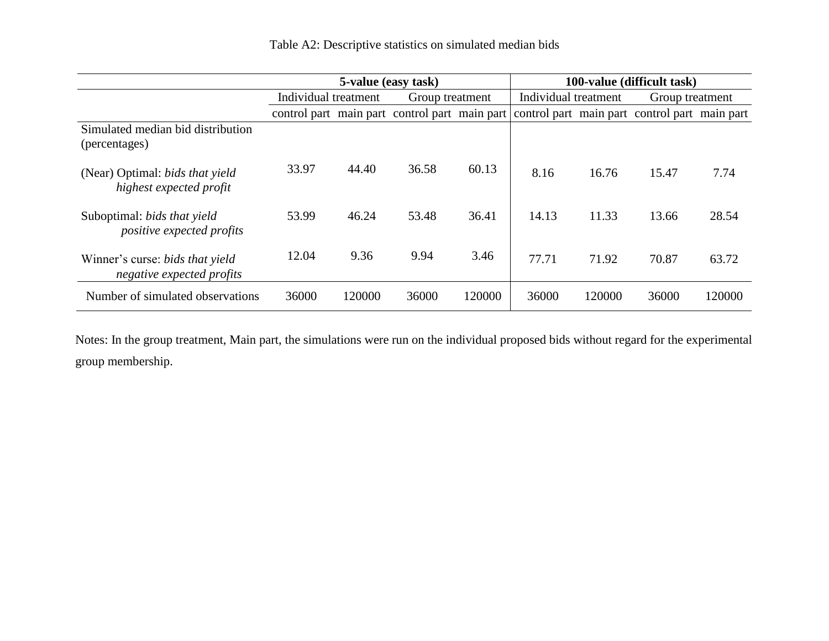|                                                                        |                      |        | 5-value (easy task)                           |        | 100-value (difficult task) |        |                                               |        |
|------------------------------------------------------------------------|----------------------|--------|-----------------------------------------------|--------|----------------------------|--------|-----------------------------------------------|--------|
|                                                                        | Individual treatment |        | Group treatment                               |        | Individual treatment       |        | Group treatment                               |        |
|                                                                        |                      |        | control part main part control part main part |        |                            |        | control part main part control part main part |        |
| Simulated median bid distribution<br>(percentages)                     |                      |        |                                               |        |                            |        |                                               |        |
| (Near) Optimal: <i>bids that yield</i><br>highest expected profit      | 33.97                | 44.40  | 36.58                                         | 60.13  | 8.16                       | 16.76  | 15.47                                         | 7.74   |
| Suboptimal: <i>bids that yield</i><br><i>positive expected profits</i> | 53.99                | 46.24  | 53.48                                         | 36.41  | 14.13                      | 11.33  | 13.66                                         | 28.54  |
| Winner's curse: bids that yield<br>negative expected profits           | 12.04                | 9.36   | 9.94                                          | 3.46   | 77.71                      | 71.92  | 70.87                                         | 63.72  |
| Number of simulated observations                                       | 36000                | 120000 | 36000                                         | 120000 | 36000                      | 120000 | 36000                                         | 120000 |

Notes: In the group treatment, Main part, the simulations were run on the individual proposed bids without regard for the experimental group membership.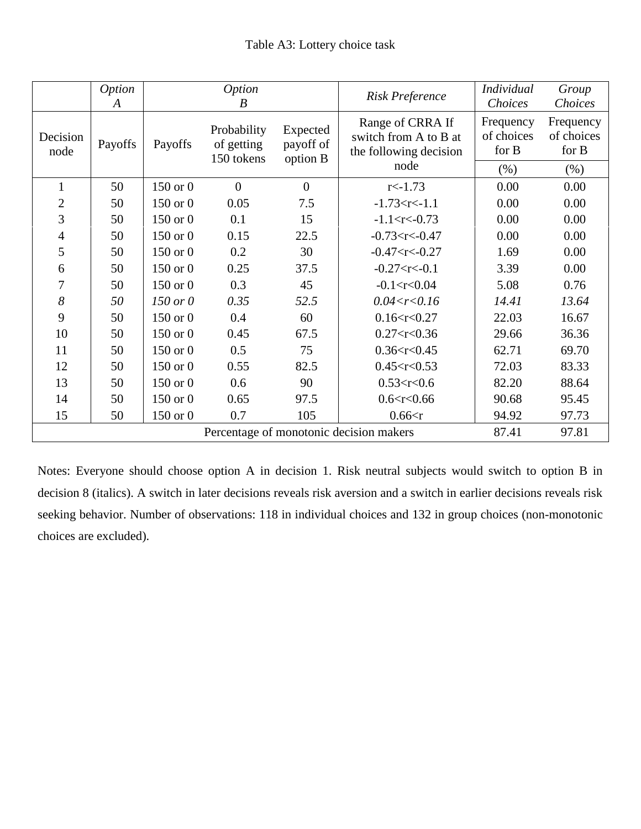|                  | <i>Option</i><br>A                                        |              | <i>Option</i><br>$\boldsymbol{B}$       |                                   | Risk Preference                                                     | Individual<br>Choices            | Group<br>Choices                 |  |  |
|------------------|-----------------------------------------------------------|--------------|-----------------------------------------|-----------------------------------|---------------------------------------------------------------------|----------------------------------|----------------------------------|--|--|
| Decision<br>node | Payoffs                                                   | Payoffs      | Probability<br>of getting<br>150 tokens | Expected<br>payoff of<br>option B | Range of CRRA If<br>switch from A to B at<br>the following decision | Frequency<br>of choices<br>for B | Frequency<br>of choices<br>for B |  |  |
|                  |                                                           |              |                                         |                                   | node                                                                | (% )                             | (% )                             |  |  |
| $\mathbf{1}$     | 50                                                        | 150 or 0     | $\Omega$                                | $\mathbf{0}$                      | $r< -1.73$                                                          | 0.00                             | 0.00                             |  |  |
| $\overline{c}$   | 50                                                        | 150 or 0     | 0.05                                    | 7.5                               | $-1.73 < r < -1.1$                                                  | 0.00                             | 0.00                             |  |  |
| 3                | 50                                                        | 150 or 0     | 0.1                                     | 15                                | $-1.1 < r < -0.73$                                                  | 0.00                             | 0.00                             |  |  |
| $\overline{4}$   | 50                                                        | 150 or 0     | 0.15                                    | 22.5                              | $-0.73 < r < -0.47$                                                 | 0.00                             | 0.00                             |  |  |
| 5                | 50                                                        | 150 or 0     | 0.2                                     | 30                                | $-0.47 < r < -0.27$                                                 | 1.69                             | 0.00                             |  |  |
| 6                | 50                                                        | 150 or 0     | 0.25                                    | 37.5                              | $-0.27 < r < -0.1$                                                  | 3.39                             | 0.00                             |  |  |
| 7                | 50                                                        | 150 or 0     | 0.3                                     | 45                                | $-0.1 < r < 0.04$                                                   | 5.08                             | 0.76                             |  |  |
| $\boldsymbol{8}$ | 50                                                        | $150$ or $0$ | 0.35                                    | 52.5                              | 0.04 < r < 0.16                                                     | 14.41                            | 13.64                            |  |  |
| 9                | 50                                                        | 150 or 0     | 0.4                                     | 60                                | 0.16 < r < 0.27                                                     | 22.03                            | 16.67                            |  |  |
| 10               | 50                                                        | 150 or 0     | 0.45                                    | 67.5                              | 0.27 < r < 0.36                                                     | 29.66                            | 36.36                            |  |  |
| 11               | 50                                                        | 150 or 0     | 0.5                                     | 75                                | 0.36 < r < 0.45                                                     | 62.71                            | 69.70                            |  |  |
| 12               | 50                                                        | 150 or 0     | 0.55                                    | 82.5                              | 0.45 < r < 0.53                                                     | 72.03                            | 83.33                            |  |  |
| 13               | 50                                                        | 150 or 0     | 0.6                                     | 90                                | 0.53 < r < 0.6                                                      | 82.20                            | 88.64                            |  |  |
| 14               | 50                                                        | 150 or 0     | 0.65                                    | 97.5                              | 0.6 < r < 0.66                                                      | 90.68                            | 95.45                            |  |  |
| 15               | 50                                                        | 150 or 0     | 0.7                                     | 105                               | 0.66 < r                                                            | 94.92                            | 97.73                            |  |  |
|                  | 87.41<br>97.81<br>Percentage of monotonic decision makers |              |                                         |                                   |                                                                     |                                  |                                  |  |  |

Notes: Everyone should choose option A in decision 1. Risk neutral subjects would switch to option B in decision 8 (italics). A switch in later decisions reveals risk aversion and a switch in earlier decisions reveals risk seeking behavior. Number of observations: 118 in individual choices and 132 in group choices (non-monotonic choices are excluded).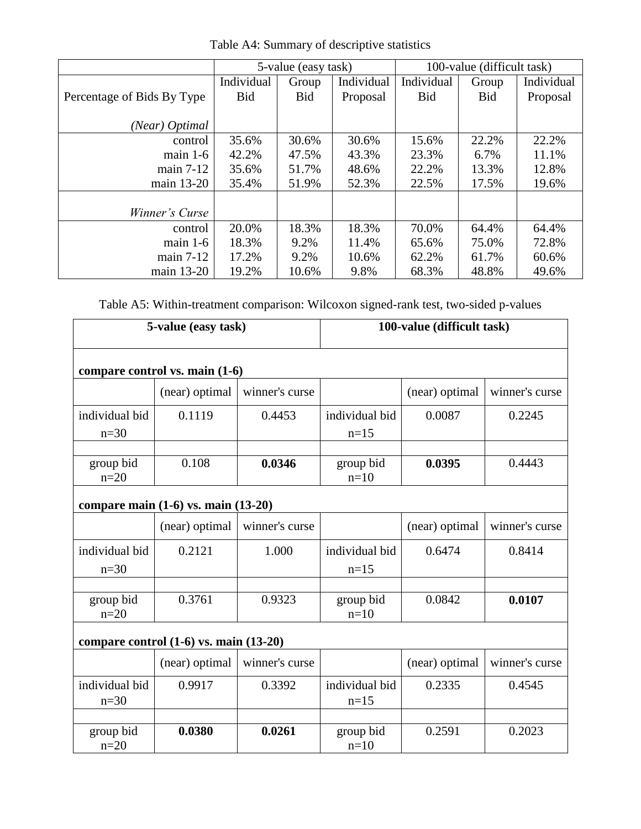Table A4: Summary of descriptive statistics

|                            | 5-value (easy task) |       |            | 100-value (difficult task) |            |            |  |
|----------------------------|---------------------|-------|------------|----------------------------|------------|------------|--|
|                            | Individual          | Group | Individual | Individual                 | Group      | Individual |  |
| Percentage of Bids By Type | <b>Bid</b>          | Bid   | Proposal   | <b>Bid</b>                 | <b>Bid</b> | Proposal   |  |
|                            |                     |       |            |                            |            |            |  |
| (Near) Optimal             |                     |       |            |                            |            |            |  |
| control                    | 35.6%               | 30.6% | 30.6%      | 15.6%                      | 22.2%      | 22.2%      |  |
| $main 1-6$                 | 42.2%               | 47.5% | 43.3%      | 23.3%                      | 6.7%       | 11.1%      |  |
| $main 7-12$                | 35.6%               | 51.7% | 48.6%      | 22.2%                      | 13.3%      | 12.8%      |  |
| main 13-20                 | 35.4%               | 51.9% | 52.3%      | 22.5%                      | 17.5%      | 19.6%      |  |
|                            |                     |       |            |                            |            |            |  |
| Winner's Curse             |                     |       |            |                            |            |            |  |
| control                    | 20.0%               | 18.3% | 18.3%      | 70.0%                      | 64.4%      | 64.4%      |  |
| $main 1-6$                 | 18.3%               | 9.2%  | 11.4%      | 65.6%                      | 75.0%      | 72.8%      |  |
| main $7-12$                | 17.2%               | 9.2%  | 10.6%      | 62.2%                      | 61.7%      | 60.6%      |  |
| main 13-20                 | 19.2%               | 10.6% | 9.8%       | 68.3%                      | 48.8%      | 49.6%      |  |

Table A5: Within-treatment comparison: Wilcoxon signed-rank test, two-sided p-values

|                                         | 5-value (easy task)                        |                | 100-value (difficult task) |                |                |  |  |  |  |
|-----------------------------------------|--------------------------------------------|----------------|----------------------------|----------------|----------------|--|--|--|--|
|                                         | compare control vs. main (1-6)             |                |                            |                |                |  |  |  |  |
|                                         | (near) optimal                             | winner's curse |                            | (near) optimal | winner's curse |  |  |  |  |
| individual bid<br>$n=30$                | 0.1119                                     | 0.4453         | individual bid<br>$n=15$   | 0.0087         | 0.2245         |  |  |  |  |
| group bid<br>$n=20$                     | 0.108                                      | 0.0346         | group bid<br>$n=10$        | 0.0395         | 0.4443         |  |  |  |  |
| compare main $(1-6)$ vs. main $(13-20)$ |                                            |                |                            |                |                |  |  |  |  |
|                                         | (near) optimal                             | winner's curse |                            | (near) optimal | winner's curse |  |  |  |  |
| individual bid<br>$n=30$                | 0.2121                                     | 1.000          | individual bid<br>$n=15$   | 0.6474         | 0.8414         |  |  |  |  |
| group bid<br>$n=20$                     | 0.3761                                     | 0.9323         | group bid<br>$n=10$        | 0.0842         | 0.0107         |  |  |  |  |
|                                         | compare control $(1-6)$ vs. main $(13-20)$ |                |                            |                |                |  |  |  |  |
|                                         | (near) optimal                             | winner's curse |                            | (near) optimal | winner's curse |  |  |  |  |
| individual bid<br>$n=30$                | 0.9917                                     | 0.3392         | individual bid<br>$n=15$   | 0.2335         | 0.4545         |  |  |  |  |
| group bid<br>$n=20$                     | 0.0380                                     | 0.0261         | group bid<br>$n=10$        | 0.2591         | 0.2023         |  |  |  |  |